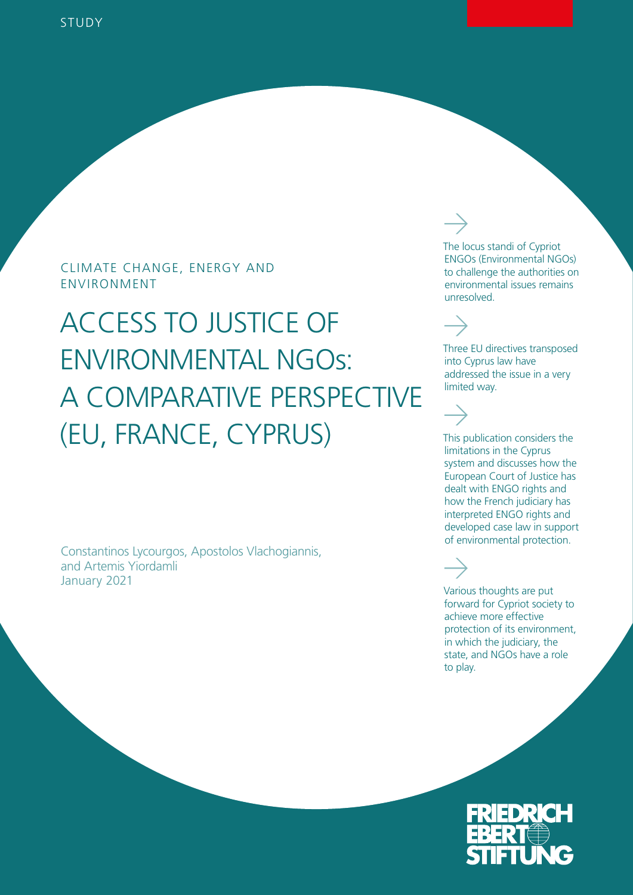## CLIMATE CHANGE, ENERGY AND ENVIRONMENT

# ACCESS TO JUSTICE OF ENVIRONMENTAL NGOs: A COMPARATIVE PERSPECTIVE (EU, FRANCE, CYPRUS)

Constantinos Lycourgos, Apostolos Vlachogiannis, and Artemis Yiordamli January 2021

The locus standi of Cypriot ENGOs (Environmental NGOs) to challenge the authorities on environmental issues remains unresolved.

Three EU directives transposed into Cyprus law have addressed the issue in a very limited way.

This publication considers the limitations in the Cyprus system and discusses how the European Court of Justice has dealt with ENGO rights and how the French judiciary has interpreted ENGO rights and developed case law in support of environmental protection.

Various thoughts are put forward for Cypriot society to achieve more effective protection of its environment, in which the judiciary, the state, and NGOs have a role to play.

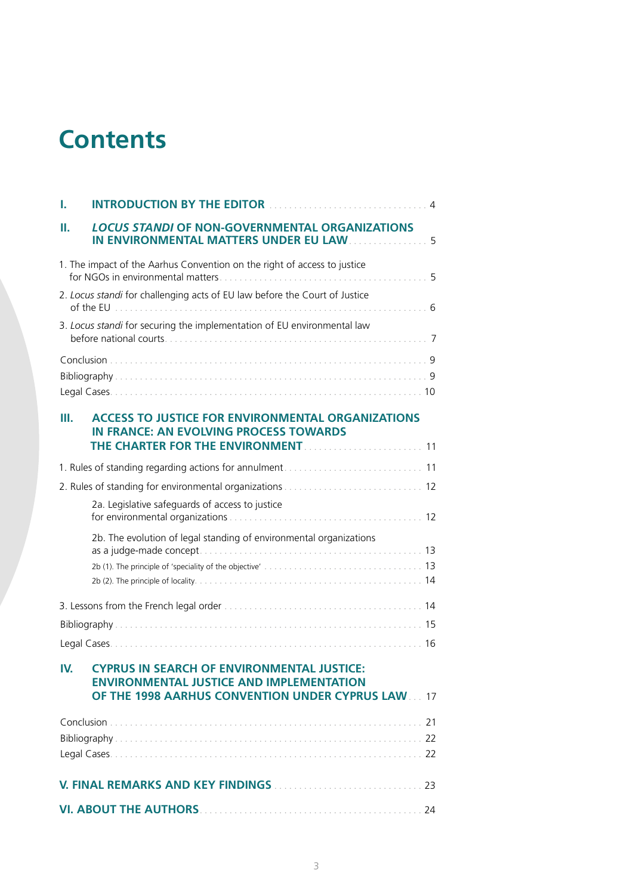## **Contents**

| ı.                                                                         | <b>INTRODUCTION BY THE EDITOR</b>                                                                                                                          | $\overline{4}$ |  |
|----------------------------------------------------------------------------|------------------------------------------------------------------------------------------------------------------------------------------------------------|----------------|--|
| н.                                                                         | <b>LOCUS STANDI OF NON-GOVERNMENTAL ORGANIZATIONS</b><br>IN ENVIRONMENTAL MATTERS UNDER EU LAW  5                                                          |                |  |
|                                                                            | 1. The impact of the Aarhus Convention on the right of access to justice                                                                                   |                |  |
| 2. Locus standi for challenging acts of EU law before the Court of Justice |                                                                                                                                                            |                |  |
| 3. Locus standi for securing the implementation of EU environmental law    |                                                                                                                                                            |                |  |
|                                                                            |                                                                                                                                                            |                |  |
|                                                                            |                                                                                                                                                            |                |  |
| Ш.                                                                         | <b>ACCESS TO JUSTICE FOR ENVIRONMENTAL ORGANIZATIONS</b><br><b>IN FRANCE: AN EVOLVING PROCESS TOWARDS</b><br>THE CHARTER FOR THE ENVIRONMENT.              |                |  |
|                                                                            |                                                                                                                                                            |                |  |
|                                                                            |                                                                                                                                                            |                |  |
|                                                                            | 2a. Legislative safeguards of access to justice                                                                                                            |                |  |
|                                                                            | 2b. The evolution of legal standing of environmental organizations                                                                                         |                |  |
|                                                                            |                                                                                                                                                            |                |  |
|                                                                            |                                                                                                                                                            |                |  |
|                                                                            |                                                                                                                                                            |                |  |
| IV.                                                                        | <b>CYPRUS IN SEARCH OF ENVIRONMENTAL JUSTICE:</b><br><b>ENVIRONMENTAL JUSTICE AND IMPLEMENTATION</b><br>OF THE 1998 AARHUS CONVENTION UNDER CYPRUS LAW  17 |                |  |
|                                                                            |                                                                                                                                                            |                |  |
|                                                                            |                                                                                                                                                            |                |  |
|                                                                            |                                                                                                                                                            |                |  |
|                                                                            |                                                                                                                                                            |                |  |
|                                                                            |                                                                                                                                                            |                |  |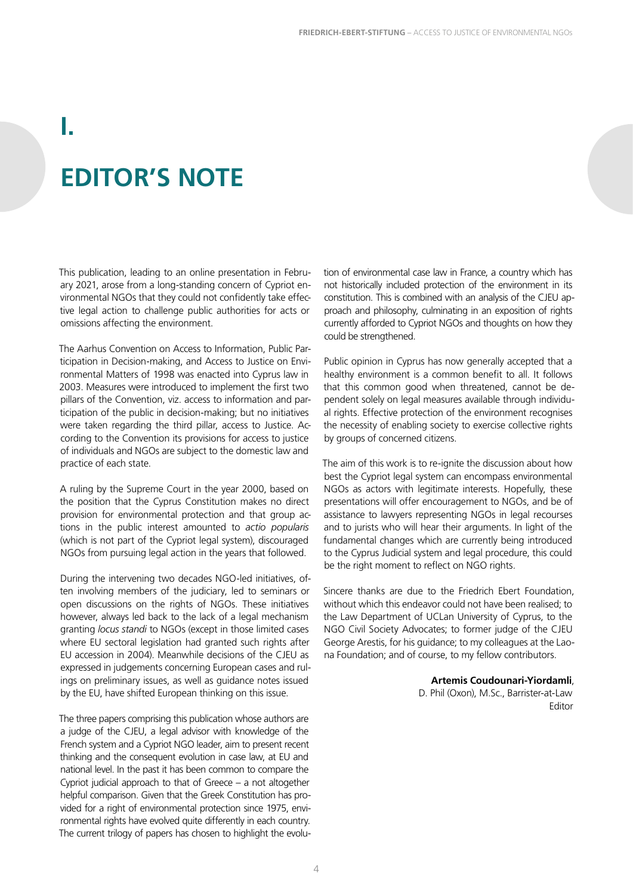# **EDITOR'S NOTE**

<span id="page-3-0"></span>**I.** 

This publication, leading to an online presentation in February 2021, arose from a long-standing concern of Cypriot environmental NGOs that they could not confidently take effective legal action to challenge public authorities for acts or omissions affecting the environment.

The Aarhus Convention on Access to Information, Public Participation in Decision-making, and Access to Justice on Environmental Matters of 1998 was enacted into Cyprus law in 2003. Measures were introduced to implement the first two pillars of the Convention, viz. access to information and participation of the public in decision-making; but no initiatives were taken regarding the third pillar, access to Justice. According to the Convention its provisions for access to justice of individuals and NGOs are subject to the domestic law and practice of each state.

A ruling by the Supreme Court in the year 2000, based on the position that the Cyprus Constitution makes no direct provision for environmental protection and that group actions in the public interest amounted to *actio popularis*  (which is not part of the Cypriot legal system), discouraged NGOs from pursuing legal action in the years that followed.

During the intervening two decades NGO-led initiatives, often involving members of the judiciary, led to seminars or open discussions on the rights of NGOs. These initiatives however, always led back to the lack of a legal mechanism granting *locus standi* to NGOs (except in those limited cases where EU sectoral legislation had granted such rights after EU accession in 2004). Meanwhile decisions of the CJEU as expressed in judgements concerning European cases and rulings on preliminary issues, as well as guidance notes issued by the EU, have shifted European thinking on this issue.

The three papers comprising this publication whose authors are a judge of the CJEU, a legal advisor with knowledge of the French system and a Cypriot NGO leader, aim to present recent thinking and the consequent evolution in case law, at EU and national level. In the past it has been common to compare the Cypriot judicial approach to that of Greece – a not altogether helpful comparison. Given that the Greek Constitution has provided for a right of environmental protection since 1975, environmental rights have evolved quite differently in each country. The current trilogy of papers has chosen to highlight the evolution of environmental case law in France, a country which has not historically included protection of the environment in its constitution. This is combined with an analysis of the CJEU approach and philosophy, culminating in an exposition of rights currently afforded to Cypriot NGOs and thoughts on how they could be strengthened.

Public opinion in Cyprus has now generally accepted that a healthy environment is a common benefit to all. It follows that this common good when threatened, cannot be dependent solely on legal measures available through individual rights. Effective protection of the environment recognises the necessity of enabling society to exercise collective rights by groups of concerned citizens.

The aim of this work is to re-ignite the discussion about how best the Cypriot legal system can encompass environmental NGOs as actors with legitimate interests. Hopefully, these presentations will offer encouragement to NGOs, and be of assistance to lawyers representing NGOs in legal recourses and to jurists who will hear their arguments. In light of the fundamental changes which are currently being introduced to the Cyprus Judicial system and legal procedure, this could be the right moment to reflect on NGO rights.

Sincere thanks are due to the Friedrich Ebert Foundation, without which this endeavor could not have been realised; to the Law Department of UCLan University of Cyprus, to the NGO Civil Society Advocates; to former judge of the CJEU George Arestis, for his guidance; to my colleagues at the Laona Foundation; and of course, to my fellow contributors.

#### **Artemis Coudounari-Yiordamli**,

D. Phil (Oxon), M.Sc., Barrister-at-Law Editor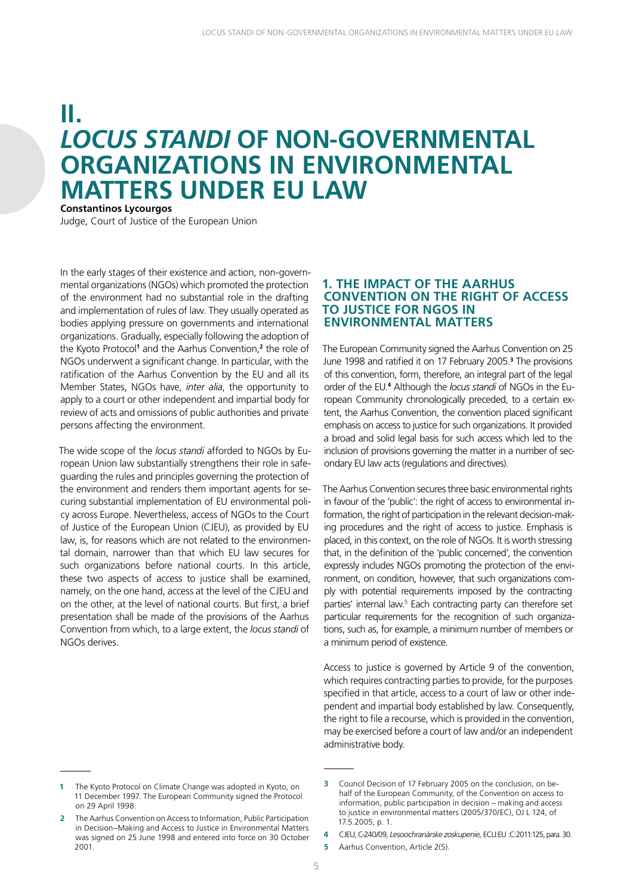## <span id="page-4-0"></span>**II.** *LOCUS STANDI* **OF NON-GOVERNMENTAL ORGANIZATIONS IN ENVIRONMENTAL MATTERS UNDER EU LAW Constantinos Lycourgos**

Judge, Court of Justice of the European Union

In the early stages of their existence and action, non-governmental organizations (NGOs) which promoted the protection of the environment had no substantial role in the drafting and implementation of rules of law. They usually operated as bodies applying pressure on governments and international organizations. Gradually, especially following the adoption of the Kyoto Protocol**<sup>1</sup>** and the Aarhus Convention,**<sup>2</sup>** the role of NGOs underwent a significant change. In particular, with the ratification of the Aarhus Convention by the EU and all its Member States, NGOs have, *inter alia*, the opportunity to apply to a court or other independent and impartial body for review of acts and omissions of public authorities and private persons affecting the environment.

The wide scope of the *locus standi* afforded to NGOs by European Union law substantially strengthens their role in safeguarding the rules and principles governing the protection of the environment and renders them important agents for securing substantial implementation of EU environmental policy across Europe. Nevertheless, access of NGOs to the Court of Justice of the European Union (CJEU), as provided by EU law, is, for reasons which are not related to the environmental domain, narrower than that which EU law secures for such organizations before national courts. In this article, these two aspects of access to justice shall be examined, namely, on the one hand, access at the level of the CJEU and on the other, at the level of national courts. But first, a brief presentation shall be made of the provisions of the Aarhus Convention from which, to a large extent, the *locus standi* of NGOs derives.

#### **1. THE IMPACT OF THE AARHUS CONVENTION ON THE RIGHT OF ACCESS TO JUSTICE FOR NGOS IN ENVIRONMENTAL MATTERS**

The European Community signed the Aarhus Convention on 25 June 1998 and ratified it on 17 February 2005.**<sup>3</sup>** The provisions of this convention, form, therefore, an integral part of the legal order of the EU.**<sup>4</sup>** Although the *locus standi* of NGOs in the European Community chronologically preceded, to a certain extent, the Aarhus Convention, the convention placed significant emphasis on access to justice for such organizations. It provided a broad and solid legal basis for such access which led to the inclusion of provisions governing the matter in a number of secondary EU law acts (regulations and directives).

The Aarhus Convention secures three basic environmental rights in favour of the 'public': the right of access to environmental information, the right of participation in the relevant decision-making procedures and the right of access to justice. Emphasis is placed, in this context, on the role of NGOs. It is worth stressing that, in the definition of the 'public concerned', the convention expressly includes NGOs promoting the protection of the environment, on condition, however, that such organizations comply with potential requirements imposed by the contracting parties' internal law.<sup>5</sup> Each contracting party can therefore set particular requirements for the recognition of such organizations, such as, for example, a minimum number of members or a minimum period of existence.

Access to justice is governed by Article 9 of the convention, which requires contracting parties to provide, for the purposes specified in that article, access to a court of law or other independent and impartial body established by law. Consequently, the right to file a recourse, which is provided in the convention, may be exercised before a court of law and/or an independent administrative body.

**<sup>1</sup>** The Kyoto Protocol on Climate Change was adopted in Kyoto, on 11 December 1997. The European Community signed the Protocol on 29 April 1998.

**<sup>2</sup>** The Aarhus Convention on Access to Information, Public Participation in Decision–Making and Access to Justice in Environmental Matters was signed on 25 June 1998 and entered into force on 30 October 2001.

**<sup>3</sup>** Council Decision of 17 February 2005 on the conclusion, on behalf of the European Community, of the Convention on access to information, public participation in decision – making and access to justice in environmental matters (2005/370/EC), OJ L 124, of 17.5.2005, p. 1.

**<sup>4</sup>** CJEU, C-240/09, *Lesoochranárske zoskupenie*, ECLI:EU :C:2011:125, para. 30.

**<sup>5</sup>** Aarhus Convention, Article 2(5).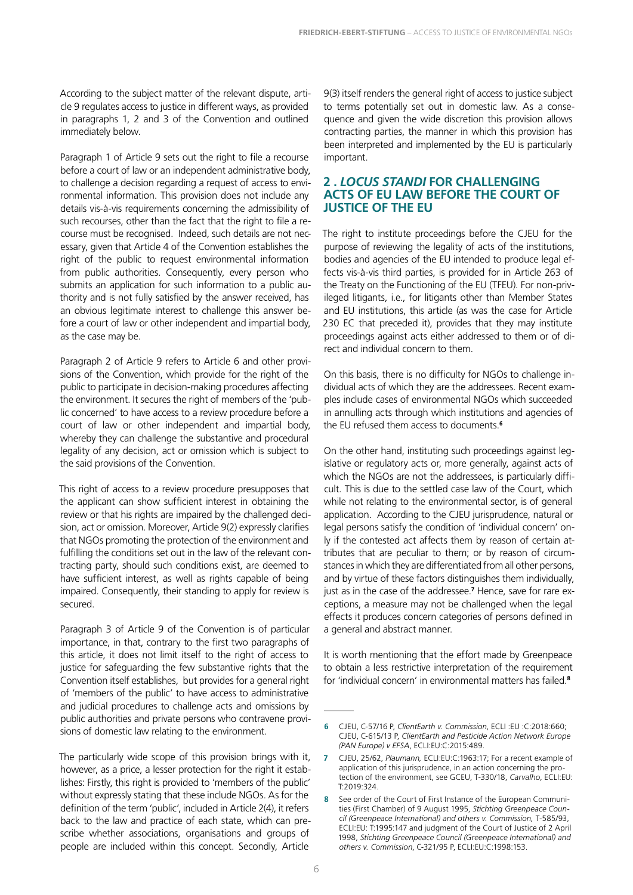<span id="page-5-0"></span>According to the subject matter of the relevant dispute, article 9 regulates access to justice in different ways, as provided in paragraphs 1, 2 and 3 of the Convention and outlined immediately below.

Paragraph 1 of Article 9 sets out the right to file a recourse before a court of law or an independent administrative body, to challenge a decision regarding a request of access to environmental information. This provision does not include any details vis-à-vis requirements concerning the admissibility of such recourses, other than the fact that the right to file a recourse must be recognised. Indeed, such details are not necessary, given that Article 4 of the Convention establishes the right of the public to request environmental information from public authorities. Consequently, every person who submits an application for such information to a public authority and is not fully satisfied by the answer received, has an obvious legitimate interest to challenge this answer before a court of law or other independent and impartial body, as the case may be.

Paragraph 2 of Article 9 refers to Article 6 and other provisions of the Convention, which provide for the right of the public to participate in decision-making procedures affecting the environment. It secures the right of members of the 'public concerned' to have access to a review procedure before a court of law or other independent and impartial body, whereby they can challenge the substantive and procedural legality of any decision, act or omission which is subject to the said provisions of the Convention.

This right of access to a review procedure presupposes that the applicant can show sufficient interest in obtaining the review or that his rights are impaired by the challenged decision, act or omission. Moreover, Article 9(2) expressly clarifies that NGOs promoting the protection of the environment and fulfilling the conditions set out in the law of the relevant contracting party, should such conditions exist, are deemed to have sufficient interest, as well as rights capable of being impaired. Consequently, their standing to apply for review is secured.

Paragraph 3 of Article 9 of the Convention is of particular importance, in that, contrary to the first two paragraphs of this article, it does not limit itself to the right of access to justice for safeguarding the few substantive rights that the Convention itself establishes, but provides for a general right of 'members of the public' to have access to administrative and judicial procedures to challenge acts and omissions by public authorities and private persons who contravene provisions of domestic law relating to the environment.

The particularly wide scope of this provision brings with it, however, as a price, a lesser protection for the right it establishes: Firstly, this right is provided to 'members of the public' without expressly stating that these include NGOs. As for the definition of the term 'public', included in Article 2(4), it refers back to the law and practice of each state, which can prescribe whether associations, organisations and groups of people are included within this concept. Secondly, Article

9(3) itself renders the general right of access to justice subject to terms potentially set out in domestic law. As a consequence and given the wide discretion this provision allows contracting parties, the manner in which this provision has been interpreted and implemented by the EU is particularly important.

#### **2 .** *LOCUS STANDI* **FOR CHALLENGING ACTS OF EU LAW BEFORE THE COURT OF JUSTICE OF THE EU**

The right to institute proceedings before the CJEU for the purpose of reviewing the legality of acts of the institutions, bodies and agencies of the EU intended to produce legal effects vis-à-vis third parties, is provided for in Article 263 of the Treaty on the Functioning of the EU (TFEU). For non-privileged litigants, i.e., for litigants other than Member States and EU institutions, this article (as was the case for Article 230 EC that preceded it), provides that they may institute proceedings against acts either addressed to them or of direct and individual concern to them.

On this basis, there is no difficulty for NGOs to challenge individual acts of which they are the addressees. Recent examples include cases of environmental NGOs which succeeded in annulling acts through which institutions and agencies of the EU refused them access to documents.**<sup>6</sup>**

On the other hand, instituting such proceedings against legislative or regulatory acts or, more generally, against acts of which the NGOs are not the addressees, is particularly difficult. This is due to the settled case law of the Court, which while not relating to the environmental sector, is of general application. According to the CJEU jurisprudence, natural or legal persons satisfy the condition of 'individual concern' only if the contested act affects them by reason of certain attributes that are peculiar to them; or by reason of circumstances in which they are differentiated from all other persons, and by virtue of these factors distinguishes them individually, just as in the case of the addressee.**<sup>7</sup>** Hence, save for rare exceptions, a measure may not be challenged when the legal effects it produces concern categories of persons defined in a general and abstract manner.

It is worth mentioning that the effort made by Greenpeace to obtain a less restrictive interpretation of the requirement for 'individual concern' in environmental matters has failed.**<sup>8</sup>**

**<sup>6</sup>** CJEU, C-57/16 P, *ClientEarth v. Commission*, ECLI :EU :C:2018:660; CJEU, C-615/13 P, *ClientEarth and Pesticide Action Network Europe (PAN Europe) v EFSA*, ECLI:EU:C:2015:489.

**<sup>7</sup>** CJEU, 25/62, *Plaumann,* ECLI:EU:C:1963:17; For a recent example of application of this jurisprudence, in an action concerning the protection of the environment, see GCEU, T-330/18, *Carvalho*, ECLI:EU: T:2019:324.

**<sup>8</sup>** See order of the Court of First Instance of the European Communities (First Chamber) of 9 August 1995, *Stichting Greenpeace Council (Greenpeace International) and others v. Commission,* T-585/93, ECLI:EU: T:1995:147 and judgment of the Court of Justice of 2 April 1998, *Stichting Greenpeace Council (Greenpeace International) and others v. Commission*, C-321/95 P, ECLI:EU:C:1998:153.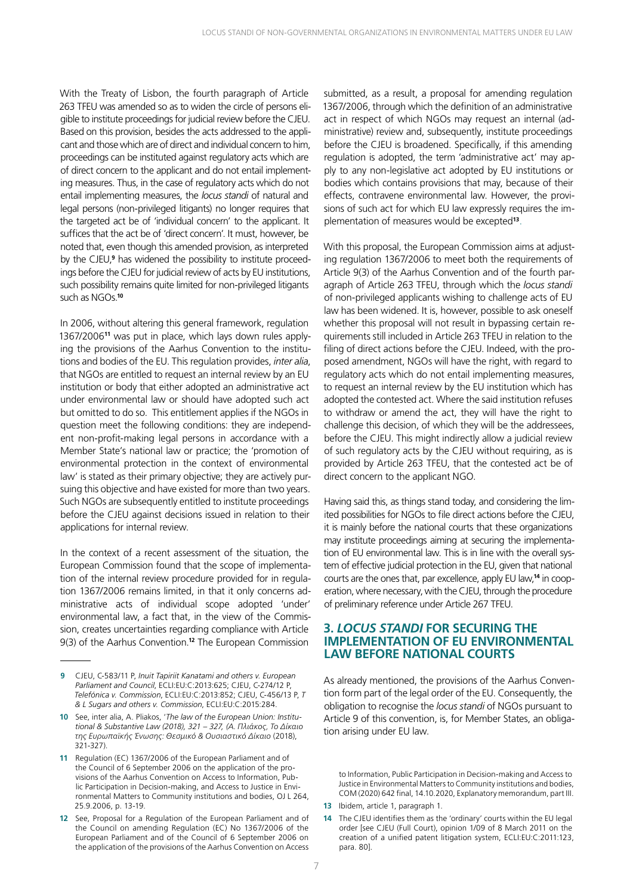<span id="page-6-0"></span>With the Treaty of Lisbon, the fourth paragraph of Article 263 TFEU was amended so as to widen the circle of persons eligible to institute proceedings for judicial review before the CJEU. Based on this provision, besides the acts addressed to the applicant and those which are of direct and individual concern to him, proceedings can be instituted against regulatory acts which are of direct concern to the applicant and do not entail implementing measures. Thus, in the case of regulatory acts which do not entail implementing measures, the *locus standi* of natural and legal persons (non-privileged litigants) no longer requires that the targeted act be of 'individual concern' to the applicant. It suffices that the act be of 'direct concern'. It must, however, be noted that, even though this amended provision, as interpreted by the CJEU,**<sup>9</sup>** has widened the possibility to institute proceedings before the CJEU for judicial review of acts by EU institutions, such possibility remains quite limited for non-privileged litigants such as NGOs.**<sup>10</sup>**

In 2006, without altering this general framework, regulation 1367/2006**<sup>11</sup>** was put in place, which lays down rules applying the provisions of the Aarhus Convention to the institutions and bodies of the EU. This regulation provides, *inter alia*, that NGOs are entitled to request an internal review by an EU institution or body that either adopted an administrative act under environmental law or should have adopted such act but omitted to do so. This entitlement applies if the NGOs in question meet the following conditions: they are independent non-profit-making legal persons in accordance with a Member State's national law or practice; the 'promotion of environmental protection in the context of environmental law' is stated as their primary objective; they are actively pursuing this objective and have existed for more than two years. Such NGOs are subsequently entitled to institute proceedings before the CJEU against decisions issued in relation to their applications for internal review.

In the context of a recent assessment of the situation, the European Commission found that the scope of implementation of the internal review procedure provided for in regulation 1367/2006 remains limited, in that it only concerns administrative acts of individual scope adopted 'under' environmental law, a fact that, in the view of the Commission, creates uncertainties regarding compliance with Article 9(3) of the Aarhus Convention.**<sup>12</sup>** The European Commission

submitted, as a result, a proposal for amending regulation 1367/2006, through which the definition of an administrative act in respect of which NGOs may request an internal (administrative) review and, subsequently, institute proceedings before the CJEU is broadened. Specifically, if this amending regulation is adopted, the term 'administrative act' may apply to any non-legislative act adopted by EU institutions or bodies which contains provisions that may, because of their effects, contravene environmental law. However, the provisions of such act for which EU law expressly requires the implementation of measures would be excepted**<sup>13</sup>**.

With this proposal, the European Commission aims at adjusting regulation 1367/2006 to meet both the requirements of Article 9(3) of the Aarhus Convention and of the fourth paragraph of Article 263 TFEU, through which the *locus standi* of non-privileged applicants wishing to challenge acts of EU law has been widened. It is, however, possible to ask oneself whether this proposal will not result in bypassing certain requirements still included in Article 263 TFEU in relation to the filing of direct actions before the CJEU. Indeed, with the proposed amendment, NGOs will have the right, with regard to regulatory acts which do not entail implementing measures, to request an internal review by the EU institution which has adopted the contested act. Where the said institution refuses to withdraw or amend the act, they will have the right to challenge this decision, of which they will be the addressees, before the CJEU. This might indirectly allow a judicial review of such regulatory acts by the CJEU without requiring, as is provided by Article 263 TFEU, that the contested act be of direct concern to the applicant NGO.

Having said this, as things stand today, and considering the limited possibilities for NGOs to file direct actions before the CJEU, it is mainly before the national courts that these organizations may institute proceedings aiming at securing the implementation of EU environmental law. This is in line with the overall system of effective judicial protection in the EU, given that national courts are the ones that, par excellence, apply EU law,**14** in cooperation, where necessary, with the CJEU, through the procedure of preliminary reference under Article 267 TFEU.

#### **3.** *LOCUS STANDI* **FOR SECURING THE IMPLEMENTATION OF EU ENVIRONMENTAL LAW BEFORE NATIONAL COURTS**

As already mentioned, the provisions of the Aarhus Convention form part of the legal order of the EU. Consequently, the obligation to recognise the *locus standi* of NGOs pursuant to Article 9 of this convention, is, for Member States, an obligation arising under EU law.

to Information, Public Participation in Decision-making and Access to Justice in Environmental Matters to Community institutions and bodies, COM (2020) 642 final, 14.10.2020, Explanatory memorandum, part III.

**<sup>9</sup>** CJEU, C-583/11 P, *Inuit Tapiriit Kanatami and others v. European Parliament and Council*, ECLI:EU:C:2013:625; CJEU, C-274/12 P, *Telefónica v. Commission*, ECLI:EU:C:2013:852; CJEU, C-456/13 P, *T & L Sugars and others v. Commission*, ECLI:EU:C:2015:284.

**<sup>10</sup>** See, inter alia, A. Pliakos, '*The law of the European Union: Institutional & Substantive Law (2018), 321 – 327, (Α. Πλιάκος, Το Δίκαιο της Ευρωπαϊκής Ένωσης: Θεσμικό & Ουσιαστικό Δίκαιο* (2018), 321-327).

**<sup>11</sup>** Regulation (EC) 1367/2006 of the European Parliament and of the Council of 6 September 2006 on the application of the provisions of the Aarhus Convention on Access to Information, Public Participation in Decision-making, and Access to Justice in Environmental Matters to Community institutions and bodies, OJ L 264, 25.9.2006, p. 13-19.

**<sup>12</sup>** See, Proposal for a Regulation of the European Parliament and of the Council on amending Regulation (EC) No 1367/2006 of the European Parliament and of the Council of 6 September 2006 on the application of the provisions of the Aarhus Convention on Access

**<sup>13</sup>** Ibidem, article 1, paragraph 1.

**<sup>14</sup>** The CJEU identifies them as the 'ordinary' courts within the EU legal order [see CJEU (Full Court), opinion 1/09 of 8 March 2011 on the creation of a unified patent litigation system, ECLI:EU:C:2011:123, para. 80].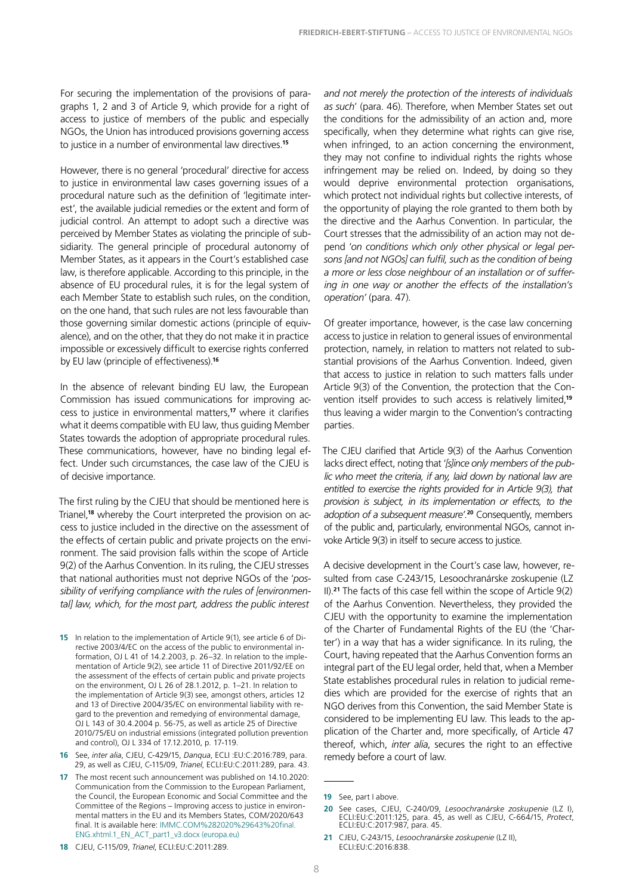For securing the implementation of the provisions of paragraphs 1, 2 and 3 of Article 9, which provide for a right of access to justice of members of the public and especially NGOs, the Union has introduced provisions governing access to justice in a number of environmental law directives.**<sup>15</sup>**

However, there is no general 'procedural' directive for access to justice in environmental law cases governing issues of a procedural nature such as the definition of 'legitimate interest', the available judicial remedies or the extent and form of judicial control. An attempt to adopt such a directive was perceived by Member States as violating the principle of subsidiarity. The general principle of procedural autonomy of Member States, as it appears in the Court's established case law, is therefore applicable. According to this principle, in the absence of EU procedural rules, it is for the legal system of each Member State to establish such rules, on the condition, on the one hand, that such rules are not less favourable than those governing similar domestic actions (principle of equivalence), and on the other, that they do not make it in practice impossible or excessively difficult to exercise rights conferred by EU law (principle of effectiveness).**<sup>16</sup>**

In the absence of relevant binding EU law, the European Commission has issued communications for improving access to justice in environmental matters,**<sup>17</sup>** where it clarifies what it deems compatible with EU law, thus guiding Member States towards the adoption of appropriate procedural rules. These communications, however, have no binding legal effect. Under such circumstances, the case law of the CJEU is of decisive importance.

The first ruling by the CJEU that should be mentioned here is Trianel, **18** whereby the Court interpreted the provision on access to justice included in the directive on the assessment of the effects of certain public and private projects on the environment. The said provision falls within the scope of Article 9(2) of the Aarhus Convention. In its ruling, the CJEU stresses that national authorities must not deprive NGOs of the '*possibility of verifying compliance with the rules of [environmental] law, which, for the most part, address the public interest* 

**15** In relation to the implementation of Article 9(1), see article 6 of Directive 2003/4/EC on the access of the public to environmental information, OJ L 41 of 14.2.2003, p. 26–32. In relation to the implementation of Article 9(2), see article 11 of Directive 2011/92/EE on the assessment of the effects of certain public and private projects on the environment, OJ L 26 of 28.1.2012, p. 1–21. In relation to the implementation of Article 9(3) see, amongst others, articles 12 and 13 of Directive 2004/35/EC on environmental liability with regard to the prevention and remedying of environmental damage, OJ L 143 of 30.4.2004 p. 56-75, as well as article 25 of Directive 2010/75/EU on industrial emissions (integrated pollution prevention and control), OJ L 334 of 17.12.2010, p. 17-119.

**16** See, *inter alia*, CJEU, C-429/15, *Danqua*, ECLI :EU:C:2016:789, para. 29, as well as CJEU, C-115/09, *Trianel*, ECLI:EU:C:2011:289, para. 43.

**17** The most recent such announcement was published on 14.10.2020: Communication from the Commission to the European Parliament, the Council, the European Economic and Social Committee and the Committee of the Regions – Improving access to justice in environmental matters in the EU and its Members States, COM/2020/643 final. It is available here: [IMMC.COM%282020%29643%20final.](https://eur-lex.europa.eu/legal-content/EN/TXT/HTML/?uri=CELEX:52020DC0643&from=EL) [ENG.xhtml.1\\_EN\\_ACT\\_part1\\_v3.docx \(europa.eu\)](https://eur-lex.europa.eu/legal-content/EN/TXT/HTML/?uri=CELEX:52020DC0643&from=EL)

**18** CJEU, C-115/09, *Trianel*, ECLI:EU:C:2011:289.

*and not merely the protection of the interests of individuals as such*' (para. 46). Therefore, when Member States set out the conditions for the admissibility of an action and, more specifically, when they determine what rights can give rise, when infringed, to an action concerning the environment, they may not confine to individual rights the rights whose infringement may be relied on. Indeed, by doing so they would deprive environmental protection organisations, which protect not individual rights but collective interests, of the opportunity of playing the role granted to them both by the directive and the Aarhus Convention. In particular, the Court stresses that the admissibility of an action may not depend '*on conditions which only other physical or legal persons [and not NGOs] can fulfil, such as the condition of being a more or less close neighbour of an installation or of suffering in one way or another the effects of the installation's operation'* (para. 47).

Of greater importance, however, is the case law concerning access to justice in relation to general issues of environmental protection, namely, in relation to matters not related to substantial provisions of the Aarhus Convention. Indeed, given that access to justice in relation to such matters falls under Article 9(3) of the Convention, the protection that the Convention itself provides to such access is relatively limited,**<sup>19</sup>** thus leaving a wider margin to the Convention's contracting parties.

The CJEU clarified that Article 9(3) of the Aarhus Convention lacks direct effect, noting that '*[s]ince only members of the public who meet the criteria, if any, laid down by national law are entitled to exercise the rights provided for in Article 9(3), that provision is subject, in its implementation or effects, to the adoption of a subsequent measure'*. **<sup>20</sup>** Consequently, members of the public and, particularly, environmental NGOs, cannot invoke Article 9(3) in itself to secure access to justice.

A decisive development in the Court's case law, however, resulted from case C-243/15, Lesoochranárske zoskupenie (LZ II).**<sup>21</sup>** The facts of this case fell within the scope of Article 9(2) of the Aarhus Convention. Nevertheless, they provided the CJEU with the opportunity to examine the implementation of the Charter of Fundamental Rights of the EU (the 'Charter') in a way that has a wider significance. In its ruling, the Court, having repeated that the Aarhus Convention forms an integral part of the EU legal order, held that, when a Member State establishes procedural rules in relation to judicial remedies which are provided for the exercise of rights that an NGO derives from this Convention, the said Member State is considered to be implementing EU law. This leads to the application of the Charter and, more specifically, of Article 47 thereof, which, *inter alia*, secures the right to an effective remedy before a court of law.

**<sup>19</sup>** See, part I above.

**<sup>20</sup>** See cases, CJEU, C-240/09, *Lesoochranárske zoskupenie* (LZ I), ECLI:EU:C:2011:125, para. 45, as well as CJEU, C-664/15, *Protect*, ECLI:EU:C:2017:987, para. 45.

**<sup>21</sup>** CJEU, C-243/15, *Lesoochranárske zoskupenie* (LZ II), ECLI:EU:C:2016:838.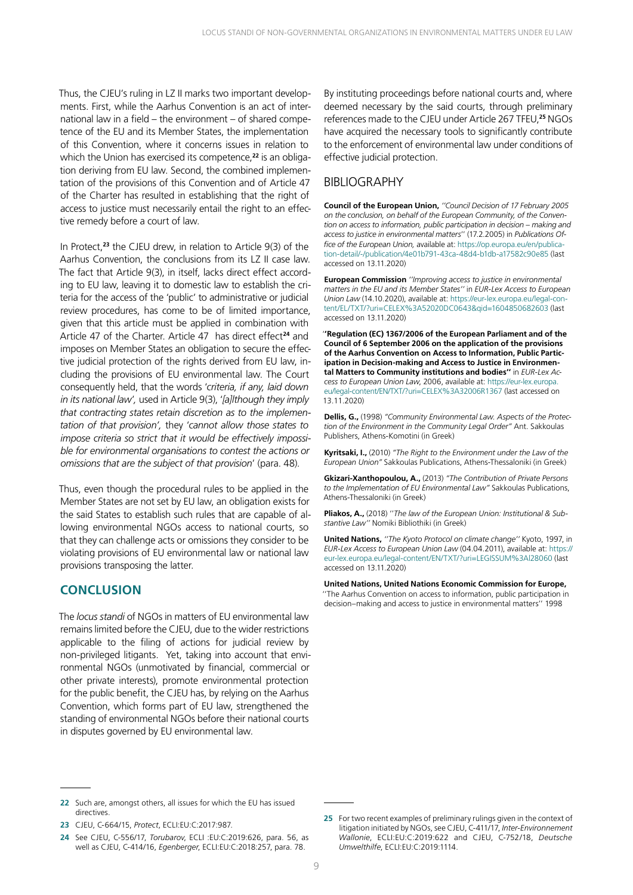<span id="page-8-0"></span>Thus, the CJEU's ruling in LZ II marks two important developments. First, while the Aarhus Convention is an act of international law in a field – the environment – of shared competence of the EU and its Member States, the implementation of this Convention, where it concerns issues in relation to which the Union has exercised its competence,**<sup>22</sup>** is an obligation deriving from EU law. Second, the combined implementation of the provisions of this Convention and of Article 47 of the Charter has resulted in establishing that the right of access to justice must necessarily entail the right to an effective remedy before a court of law.

In Protect, **<sup>23</sup>** the CJEU drew, in relation to Article 9(3) of the Aarhus Convention, the conclusions from its LZ II case law. The fact that Article 9(3), in itself, lacks direct effect according to EU law, leaving it to domestic law to establish the criteria for the access of the 'public' to administrative or judicial review procedures, has come to be of limited importance, given that this article must be applied in combination with Article 47 of the Charter. Article 47 has direct effect**<sup>24</sup>** and imposes on Member States an obligation to secure the effective judicial protection of the rights derived from EU law, including the provisions of EU environmental law. The Court consequently held, that the words '*criteria, if any, laid down in its national law*'*,* used in Article 9(3), '*[a]lthough they imply that contracting states retain discretion as to the implementation of that provision',* they '*cannot allow those states to impose criteria so strict that it would be effectively impossible for environmental organisations to contest the actions or omissions that are the subject of that provision*' (para. 48).

Thus, even though the procedural rules to be applied in the Member States are not set by EU law, an obligation exists for the said States to establish such rules that are capable of allowing environmental NGOs access to national courts, so that they can challenge acts or omissions they consider to be violating provisions of EU environmental law or national law provisions transposing the latter.

#### **CONCLUSION**

The *locus standi* of NGOs in matters of EU environmental law remains limited before the CJEU, due to the wider restrictions applicable to the filing of actions for judicial review by non-privileged litigants. Yet, taking into account that environmental NGOs (unmotivated by financial, commercial or other private interests), promote environmental protection for the public benefit, the CJEU has, by relying on the Aarhus Convention, which forms part of EU law, strengthened the standing of environmental NGOs before their national courts in disputes governed by EU environmental law.

By instituting proceedings before national courts and, where deemed necessary by the said courts, through preliminary references made to the CJEU under Article 267 TFEU,**<sup>25</sup>** NGOs have acquired the necessary tools to significantly contribute to the enforcement of environmental law under conditions of effective judicial protection.

#### BIBLIOGRAPHY

**Council of the European Union,** *''Council Decision of 17 February 2005 on the conclusion, on behalf of the European Community, of the Convention on access to information, public participation in decision – making and access to justice in environmental matters*'' (17.2.2005) in *Publications Office of the European Union,* available at: [https://op.europa.eu/en/publica](https://op.europa.eu/en/publication-detail/-/publication/4e01b791-43ca-48d4-b1db-a17582c90e85)[tion-detail/-/publication/4e01b791-43ca-48d4-b1db-a17582c90e85](https://op.europa.eu/en/publication-detail/-/publication/4e01b791-43ca-48d4-b1db-a17582c90e85) (last accessed on 13.11.2020)

**European Commission** *''Improving access to justice in environmental matters in the EU and its Member States''* in *EUR-Lex Access to European Union Law* (14.10.2020), available at: [https://eur-lex.europa.eu/legal-con](https://eur-lex.europa.eu/legal-content/EL/TXT/?uri=CELEX%3A52020DC0643&qid=1604850682603)[tent/EL/TXT/?uri=CELEX%3A52020DC0643&qid=1604850682603](https://eur-lex.europa.eu/legal-content/EL/TXT/?uri=CELEX%3A52020DC0643&qid=1604850682603) (last accessed on 13.11.2020)

'**'Regulation (EC) 1367/2006 of the European Parliament and of the Council of 6 September 2006 on the application of the provisions of the Aarhus Convention on Access to Information, Public Participation in Decision-making and Access to Justice in Environmental Matters to Community institutions and bodies''** in *EUR-Lex Access to European Union Law*, 2006, available at: [https://eur-lex.europa.](https://eur-lex.europa.eu/legal-content/EN/TXT/?uri=CELEX%3A32006R1367) [eu/legal-content/EN/TXT/?uri=CELEX%3A32006R1367](https://eur-lex.europa.eu/legal-content/EN/TXT/?uri=CELEX%3A32006R1367) (last accessed on 13.11.2020)

**Dellis, G.,** (1998) *"Community Environmental Law. Aspects of the Protection of the Environment in the Community Legal Order"* Ant. Sakkoulas Publishers, Athens-Komotini (in Greek)

**Kyritsaki, I.,** (2010) *"The Right to the Environment under the Law of the European Union"* Sakkoulas Publications, Athens-Thessaloniki (in Greek)

**Gkizari-Xanthopoulou, A.,** (2013) *"The Contribution of Private Persons to the Implementation of EU Environmental Law"* Sakkoulas Publications, Athens-Thessaloniki (in Greek)

**Pliakos, A.,** (2018) ''*The law of the European Union: Institutional & Substantive Law''* Nomiki Bibliothiki (in Greek)

**United Nations,** *''The Kyoto Protocol on climate change''* Kyoto, 1997, in *EUR-Lex Access to European Union Law* (04.04.2011), available at: [https://](https://eur-lex.europa.eu/legal-content/EN/TXT/?uri=LEGISSUM%3Al28060) [eur-lex.europa.eu/legal-content/EN/TXT/?uri=LEGISSUM%3Al28060](https://eur-lex.europa.eu/legal-content/EN/TXT/?uri=LEGISSUM%3Al28060) (last accessed on 13.11.2020)

**United Nations, United Nations Economic Commission for Europe,** ''The Aarhus Convention on access to information, public participation in decision–making and access to justice in environmental matters'' 1998

**<sup>22</sup>** Such are, amongst others, all issues for which the EU has issued directives.

**<sup>23</sup>** CJEU, C-664/15, *Protect*, ECLI:EU:C:2017:987.

**<sup>24</sup>** See CJEU, C-556/17, *Torubarov*, ECLI :EU:C:2019:626, para. 56, as well as CJEU, C-414/16, *Egenberger*, ECLI:EU:C:2018:257, para. 78.

**<sup>25</sup>** For two recent examples of preliminary rulings given in the context of litigation initiated by NGOs, see CJEU, C-411/17, *Inter-Environnement Wallonie*, ECLI:EU:C:2019:622 and CJEU, C-752/18, *Deutsche Umwelthilfe*, ECLI:EU:C:2019:1114.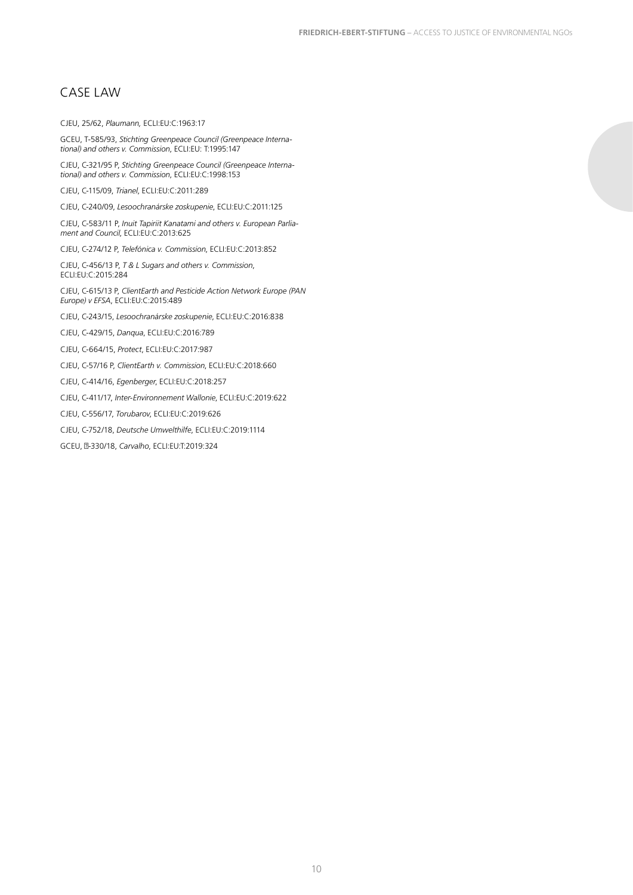### <span id="page-9-0"></span>CASE LAW

#### CJEU, 25/62, *Plaumann,* ECLI:EU:C:1963:17

GCEU, T-585/93, *Stichting Greenpeace Council (Greenpeace International) and others v. Commission*, ECLI:EU: T:1995:147

CJEU, C-321/95 P, *Stichting Greenpeace Council (Greenpeace International) and others v. Commission*, ECLI:EU:C:1998:153

CJEU, C-115/09, *Trianel*, ECLI:EU:C:2011:289

CJEU, C-240/09, *Lesoochranárske zoskupenie*, ECLI:EU:C:2011:125

CJEU, C-583/11 P, *Inuit Tapiriit Kanatami and others v. European Parliament and Council*, ECLI:EU:C:2013:625

CJEU, C-274/12 P, *Telefónica v. Commission*, ECLI:EU:C:2013:852

CJEU, C-456/13 P, *T & L Sugars and others v. Commission*, ECLI:EU:C:2015:284

CJEU, C-615/13 P, *ClientEarth and Pesticide Action Network Europe (PAN Europe) v EFSA*, ECLI:EU:C:2015:489

CJEU, C-243/15, *Lesoochranárske zoskupenie*, ECLI:EU:C:2016:838

CJEU, C-429/15, *Danqua*, ECLI:EU:C:2016:789

CJEU, C-664/15, *Protect*, ECLI:EU:C:2017:987

CJEU, C-57/16 P, *ClientEarth v. Commission*, ECLI:EU:C:2018:660

CJEU, C-414/16, *Egenberger*, ECLI:EU:C:2018:257

CJEU, C-411/17, *Inter-Environnement Wallonie*, ECLI:EU:C:2019:622

CJEU, C-556/17, *Torubarov*, ECLI:EU:C:2019:626

CJEU, C-752/18, *Deutsche Umwelthilfe*, ECLI:EU:C:2019:1114

GCEU, Τ-330/18, *Carvalho*, ECLI:EU:T:2019:324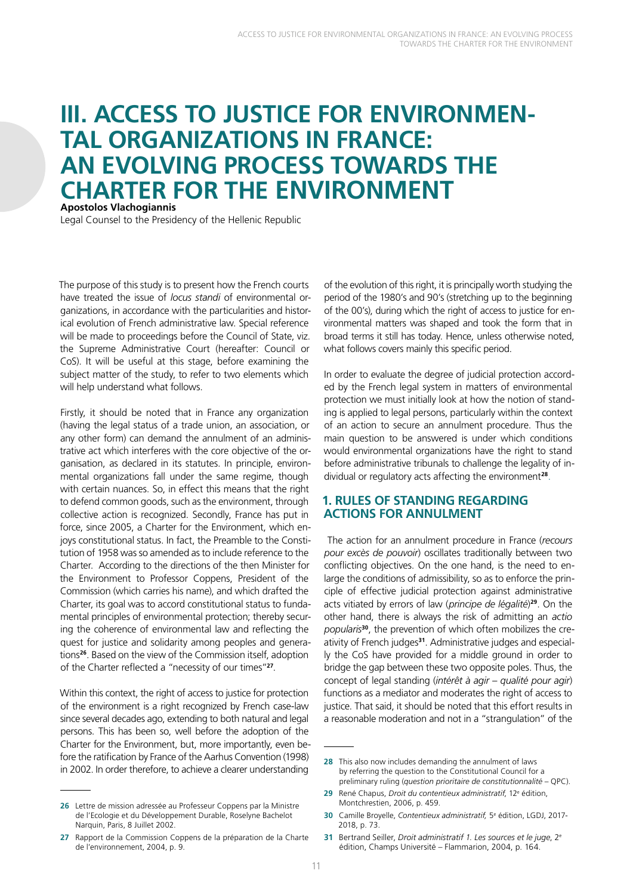## <span id="page-10-0"></span>**III. ACCESS TO JUSTICE FOR ENVIRONMEN-TAL ORGANIZATIONS IN FRANCE: AN EVOLVING PROCESS TOWARDS THE CHARTER FOR THE ENVIRONMENT Apostolos Vlachogiannis**

Legal Counsel to the Presidency of the Hellenic Republic

The purpose of this study is to present how the French courts have treated the issue of *locus standi* of environmental organizations, in accordance with the particularities and historical evolution of French administrative law. Special reference will be made to proceedings before the Council of State, viz. the Supreme Administrative Court (hereafter: Council or CoS). It will be useful at this stage, before examining the subject matter of the study, to refer to two elements which will help understand what follows.

Firstly, it should be noted that in France any organization (having the legal status of a trade union, an association, or any other form) can demand the annulment of an administrative act which interferes with the core objective of the organisation, as declared in its statutes. In principle, environmental organizations fall under the same regime, though with certain nuances. So, in effect this means that the right to defend common goods, such as the environment, through collective action is recognized. Secondly, France has put in force, since 2005, a Charter for the Environment, which enjoys constitutional status. In fact, the Preamble to the Constitution of 1958 was so amended as to include reference to the Charter. According to the directions of the then Minister for the Environment to Professor Coppens, President of the Commission (which carries his name), and which drafted the Charter, its goal was to accord constitutional status to fundamental principles of environmental protection; thereby securing the coherence of environmental law and reflecting the quest for justice and solidarity among peoples and generations**<sup>26</sup>**. Based on the view of the Commission itself, adoption of the Charter reflected a "necessity of our times"**<sup>27</sup>**.

Within this context, the right of access to justice for protection of the environment is a right recognized by French case-law since several decades ago, extending to both natural and legal persons. This has been so, well before the adoption of the Charter for the Environment, but, more importantly, even before the ratification by France of the Aarhus Convention (1998) in 2002. In order therefore, to achieve a clearer understanding

**26** Lettre de mission adressée au Professeur Coppens par la Ministre de l'Ecologie et du Développement Durable, Roselyne Bachelot Narquin, Paris, 8 Juillet 2002.

**27** Rapport de la Commission Coppens de la préparation de la Charte de l'environnement, 2004, p. 9.

of the evolution of this right, it is principally worth studying the period of the 1980's and 90's (stretching up to the beginning of the 00's), during which the right of access to justice for environmental matters was shaped and took the form that in broad terms it still has today. Hence, unless otherwise noted, what follows covers mainly this specific period.

In order to evaluate the degree of judicial protection accorded by the French legal system in matters of environmental protection we must initially look at how the notion of standing is applied to legal persons, particularly within the context of an action to secure an annulment procedure. Thus the main question to be answered is under which conditions would environmental organizations have the right to stand before administrative tribunals to challenge the legality of individual or regulatory acts affecting the environment**<sup>28</sup>**.

#### **1. RULES OF STANDING REGARDING ACTIONS FOR ANNULMENT**

 The action for an annulment procedure in France (*recours pour excès de pouvoir*) oscillates traditionally between two conflicting objectives. On the one hand, is the need to enlarge the conditions of admissibility, so as to enforce the principle of effective judicial protection against administrative acts vitiated by errors of law (*principe de légalité*) **<sup>29</sup>**. On the other hand, there is always the risk of admitting an *actio popularis***30**, the prevention of which often mobilizes the creativity of French judges**31**. Administrative judges and especially the CoS have provided for a middle ground in order to bridge the gap between these two opposite poles. Thus, the concept of legal standing (*intérêt à agir – qualité pour agir*) functions as a mediator and moderates the right of access to justice. That said, it should be noted that this effort results in a reasonable moderation and not in a "strangulation" of the

**<sup>28</sup>** This also now includes demanding the annulment of laws by referring the question to the Constitutional Council for a preliminary ruling (*question prioritaire de constitutionnalité* – QPC).

**<sup>29</sup>** René Chapus, *Droit du contentieux administratif*, 12e édition, Montchrestien, 2006, p. 459.

**<sup>30</sup>** Camille Broyelle, *Contentieux administratif,* 5e édition, LGDJ, 2017- 2018, p. 73.

**<sup>31</sup>** Bertrand Seiller, *Droit administratif 1. Les sources et le juge*, 2e édition, Champs Université – Flammarion, 2004, p. 164.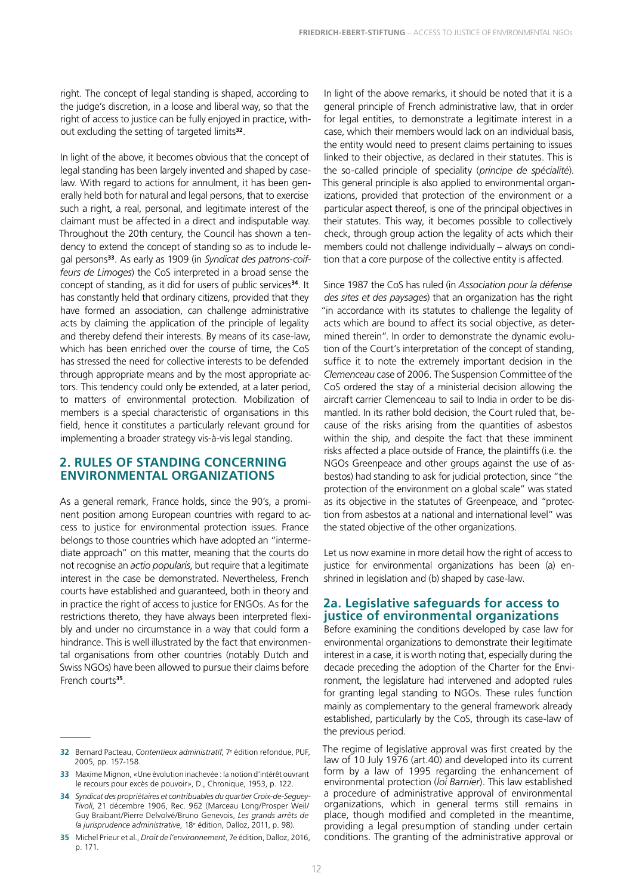<span id="page-11-0"></span>right. The concept of legal standing is shaped, according to the judge's discretion, in a loose and liberal way, so that the right of access to justice can be fully enjoyed in practice, without excluding the setting of targeted limits**<sup>32</sup>**.

In light of the above, it becomes obvious that the concept of legal standing has been largely invented and shaped by caselaw. With regard to actions for annulment, it has been generally held both for natural and legal persons, that to exercise such a right, a real, personal, and legitimate interest of the claimant must be affected in a direct and indisputable way. Throughout the 20th century, the Council has shown a tendency to extend the concept of standing so as to include legal persons**33**. As early as 1909 (in *Syndicat des patrons-coiffeurs de Limoges*) the CoS interpreted in a broad sense the concept of standing, as it did for users of public services**<sup>34</sup>**. It has constantly held that ordinary citizens, provided that they have formed an association, can challenge administrative acts by claiming the application of the principle of legality and thereby defend their interests. By means of its case-law, which has been enriched over the course of time, the CoS has stressed the need for collective interests to be defended through appropriate means and by the most appropriate actors. This tendency could only be extended, at a later period, to matters of environmental protection. Mobilization of members is a special characteristic of organisations in this field, hence it constitutes a particularly relevant ground for implementing a broader strategy vis-à-vis legal standing.

#### **2. RULES OF STANDING CONCERNING ENVIRONMENTAL ORGANIZATIONS**

As a general remark, France holds, since the 90's, a prominent position among European countries with regard to access to justice for environmental protection issues. France belongs to those countries which have adopted an "intermediate approach" on this matter, meaning that the courts do not recognise an *actio popularis*, but require that a legitimate interest in the case be demonstrated. Nevertheless, French courts have established and guaranteed, both in theory and in practice the right of access to justice for ENGOs. As for the restrictions thereto, they have always been interpreted flexibly and under no circumstance in a way that could form a hindrance. This is well illustrated by the fact that environmental organisations from other countries (notably Dutch and Swiss NGOs) have been allowed to pursue their claims before French courts**<sup>35</sup>**.

In light of the above remarks, it should be noted that it is a general principle of French administrative law, that in order for legal entities, to demonstrate a legitimate interest in a case, which their members would lack on an individual basis, the entity would need to present claims pertaining to issues linked to their objective, as declared in their statutes. This is the so-called principle of speciality (*principe de spécialité*). This general principle is also applied to environmental organizations, provided that protection of the environment or a particular aspect thereof, is one of the principal objectives in their statutes. This way, it becomes possible to collectively check, through group action the legality of acts which their members could not challenge individually – always on condition that a core purpose of the collective entity is affected.

Since 1987 the CoS has ruled (in *Association pour la défense des sites et des paysages*) that an organization has the right "in accordance with its statutes to challenge the legality of acts which are bound to affect its social objective, as determined therein". In order to demonstrate the dynamic evolution of the Court's interpretation of the concept of standing, suffice it to note the extremely important decision in the *Clemenceau* case of 2006. The Suspension Committee of the CoS ordered the stay of a ministerial decision allowing the aircraft carrier Clemenceau to sail to India in order to be dismantled. In its rather bold decision, the Court ruled that, because of the risks arising from the quantities of asbestos within the ship, and despite the fact that these imminent risks affected a place outside of France, the plaintiffs (i.e. the NGOs Greenpeace and other groups against the use of asbestos) had standing to ask for judicial protection, since "the protection of the environment on a global scale" was stated as its objective in the statutes of Greenpeace, and "protection from asbestos at a national and international level" was the stated objective of the other organizations.

Let us now examine in more detail how the right of access to justice for environmental organizations has been (a) enshrined in legislation and (b) shaped by case-law.

#### **2a. Legislative safeguards for access to justice of environmental organizations**

Before examining the conditions developed by case law for environmental organizations to demonstrate their legitimate interest in a case, it is worth noting that, especially during the decade preceding the adoption of the Charter for the Environment, the legislature had intervened and adopted rules for granting legal standing to NGOs. These rules function mainly as complementary to the general framework already established, particularly by the CoS, through its case-law of the previous period.

The regime of legislative approval was first created by the law of 10 July 1976 (art.40) and developed into its current form by a law of 1995 regarding the enhancement of environmental protection (*loi Barnier*). This law established a procedure of administrative approval of environmental organizations, which in general terms still remains in place, though modified and completed in the meantime, providing a legal presumption of standing under certain conditions. The granting of the administrative approval or

**<sup>32</sup>** Bernard Pacteau, *Contentieux administratif*, 7e édition refondue, PUF, 2005, pp. 157-158.

**<sup>33</sup>** Maxime Mignon, «Une évolution inachevée : la notion d'intérêt ouvrant le recours pour excès de pouvoir», D., Chronique, 1953, p. 122.

**<sup>34</sup>** *Syndicat des propriétaires et contribuables du quartier Croix-de-Seguey-Tivoli*, 21 décembre 1906, Rec. 962 (Marceau Long/Prosper Weil/ Guy Braibant/Pierre Delvolvé/Bruno Genevois, *Les grands arrêts de la jurisprudence administrative*, 18e édition, Dalloz, 2011, p. 98).

**<sup>35</sup>** Michel Prieur et al., *Droit de l'environnement*, 7e édition, Dalloz, 2016, p. 171.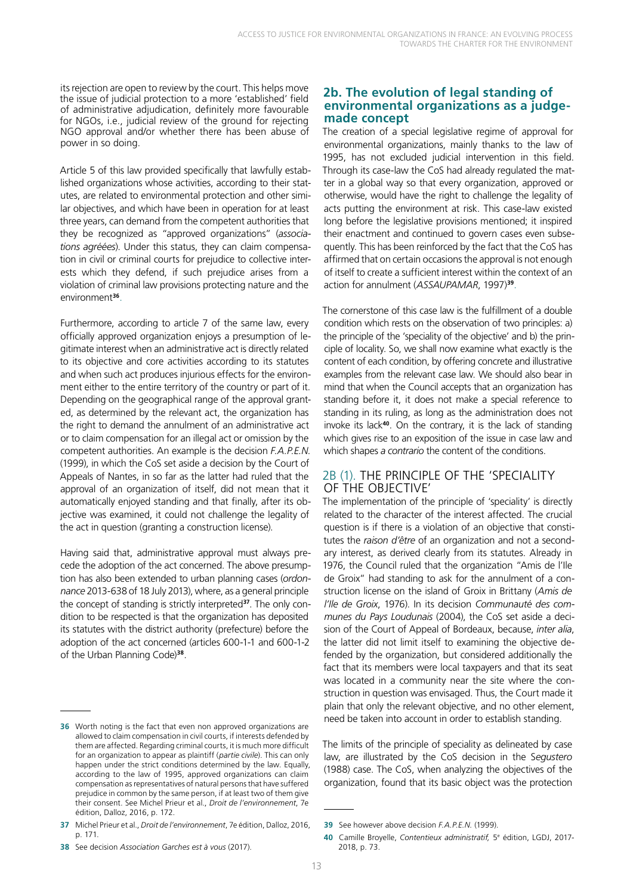<span id="page-12-0"></span>its rejection are open to review by the court. This helps move the issue of judicial protection to a more 'established' field of administrative adjudication, definitely more favourable for NGOs, i.e., judicial review of the ground for rejecting NGO approval and/or whether there has been abuse of power in so doing.

Article 5 of this law provided specifically that lawfully established organizations whose activities, according to their statutes, are related to environmental protection and other similar objectives, and which have been in operation for at least three years, can demand from the competent authorities that they be recognized as "approved organizations" (*associations agréées*). Under this status, they can claim compensation in civil or criminal courts for prejudice to collective interests which they defend, if such prejudice arises from a violation of criminal law provisions protecting nature and the environment**<sup>36</sup>**.

Furthermore, according to article 7 of the same law, every officially approved organization enjoys a presumption of legitimate interest when an administrative act is directly related to its objective and core activities according to its statutes and when such act produces injurious effects for the environment either to the entire territory of the country or part of it. Depending on the geographical range of the approval granted, as determined by the relevant act, the organization has the right to demand the annulment of an administrative act or to claim compensation for an illegal act or omission by the competent authorities. An example is the decision *F.A.P.E.N.*  (1999), in which the CoS set aside a decision by the Court of Appeals of Nantes, in so far as the latter had ruled that the approval of an organization of itself, did not mean that it automatically enjoyed standing and that finally, after its objective was examined, it could not challenge the legality of the act in question (granting a construction license).

Having said that, administrative approval must always precede the adoption of the act concerned. The above presumption has also been extended to urban planning cases (*ordonnance* 2013-638 of 18 July 2013), where, as a general principle the concept of standing is strictly interpreted**37**. The only condition to be respected is that the organization has deposited its statutes with the district authority (prefecture) before the adoption of the act concerned (articles 600-1-1 and 600-1-2 of the Urban Planning Code)**<sup>38</sup>**.

#### **2b. The evolution of legal standing of environmental organizations as a judgemade concept**

The creation of a special legislative regime of approval for environmental organizations, mainly thanks to the law of 1995, has not excluded judicial intervention in this field. Through its case-law the CoS had already regulated the matter in a global way so that every organization, approved or otherwise, would have the right to challenge the legality of acts putting the environment at risk. This case-law existed long before the legislative provisions mentioned; it inspired their enactment and continued to govern cases even subsequently. This has been reinforced by the fact that the CoS has affirmed that on certain occasions the approval is not enough of itself to create a sufficient interest within the context of an action for annulment (*ASSAUPAMAR*, 1997)**<sup>39</sup>**.

The cornerstone of this case law is the fulfillment of a double condition which rests on the observation of two principles: a) the principle of the 'speciality of the objective' and b) the principle of locality. So, we shall now examine what exactly is the content of each condition, by offering concrete and illustrative examples from the relevant case law. We should also bear in mind that when the Council accepts that an organization has standing before it, it does not make a special reference to standing in its ruling, as long as the administration does not invoke its lack**<sup>40</sup>**. On the contrary, it is the lack of standing which gives rise to an exposition of the issue in case law and which shapes *a contrario* the content of the conditions.

#### 2B (1). THE PRINCIPLE OF THE 'SPECIALITY OF THE OBJECTIVE'

The implementation of the principle of 'speciality' is directly related to the character of the interest affected. The crucial question is if there is a violation of an objective that constitutes the *raison d'être* of an organization and not a secondary interest, as derived clearly from its statutes. Already in 1976, the Council ruled that the organization "Amis de l'Ile de Groix" had standing to ask for the annulment of a construction license on the island of Groix in Brittany (*Amis de l'Ile de Groix*, 1976). In its decision *Communauté des communes du Pays Loudunais* (2004), the CoS set aside a decision of the Court of Appeal of Bordeaux, because, *inter alia*, the latter did not limit itself to examining the objective defended by the organization, but considered additionally the fact that its members were local taxpayers and that its seat was located in a community near the site where the construction in question was envisaged. Thus, the Court made it plain that only the relevant objective, and no other element, need be taken into account in order to establish standing.

The limits of the principle of speciality as delineated by case law, are illustrated by the CoS decision in the S*egustero* (1988) case. The CoS, when analyzing the objectives of the organization, found that its basic object was the protection

**<sup>36</sup>** Worth noting is the fact that even non approved organizations are allowed to claim compensation in civil courts, if interests defended by them are affected. Regarding criminal courts, it is much more difficult for an organization to appear as plaintiff (*partie civile*). This can only happen under the strict conditions determined by the law. Equally, according to the law of 1995, approved organizations can claim compensation as representatives of natural persons that have suffered prejudice in common by the same person, if at least two of them give their consent. See Michel Prieur et al., *Droit de l'environnement*, 7e édition, Dalloz, 2016, p. 172.

**<sup>37</sup>** Michel Prieur et al., *Droit de l'environnement*, 7e édition, Dalloz, 2016, p. 171.

**<sup>39</sup>** See however above decision *F.A.P.E.N.* (1999).

**<sup>40</sup>** Camille Broyelle, *Contentieux administratif,* 5e édition, LGDJ, 2017- 2018, p. 73.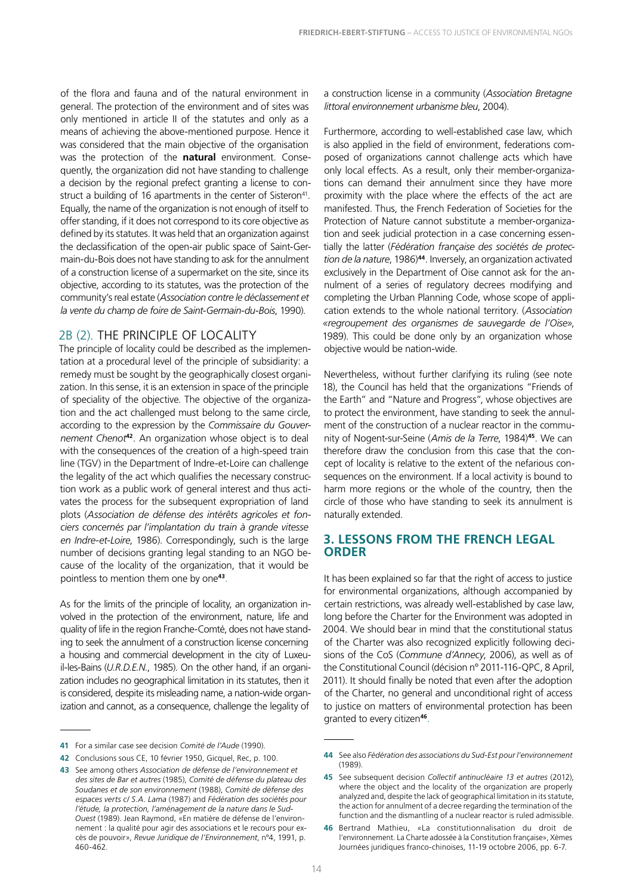<span id="page-13-0"></span>of the flora and fauna and of the natural environment in general. The protection of the environment and of sites was only mentioned in article II of the statutes and only as a means of achieving the above-mentioned purpose. Hence it was considered that the main objective of the organisation was the protection of the **natural** environment. Consequently, the organization did not have standing to challenge a decision by the regional prefect granting a license to construct a building of 16 apartments in the center of Sisteron<sup>41</sup>. Equally, the name of the organization is not enough of itself to offer standing, if it does not correspond to its core objective as defined by its statutes. It was held that an organization against the declassification of the open-air public space of Saint-Germain-du-Bois does not have standing to ask for the annulment of a construction license of a supermarket on the site, since its objective, according to its statutes, was the protection of the community's real estate (*Association contre le déclassement et la vente du champ de foire de Saint-Germain-du-Bois*, 1990).

#### 2B (2). THE PRINCIPLE OF LOCALITY

The principle of locality could be described as the implementation at a procedural level of the principle of subsidiarity: a remedy must be sought by the geographically closest organization. In this sense, it is an extension in space of the principle of speciality of the objective. The objective of the organization and the act challenged must belong to the same circle, according to the expression by the *Commissaire du Gouvernement Chenot***<sup>42</sup>**. An organization whose object is to deal with the consequences of the creation of a high-speed train line (TGV) in the Department of Indre-et-Loire can challenge the legality of the act which qualifies the necessary construction work as a public work of general interest and thus activates the process for the subsequent expropriation of land plots (*Association de défense des intérêts agricoles et fonciers concernés par l'implantation du train à grande vitesse en Indre-et-Loire*, 1986). Correspondingly, such is the large number of decisions granting legal standing to an NGO because of the locality of the organization, that it would be pointless to mention them one by one**<sup>43</sup>**.

As for the limits of the principle of locality, an organization involved in the protection of the environment, nature, life and quality of life in the region Franche-Comté, does not have standing to seek the annulment of a construction license concerning a housing and commercial development in the city of Luxeuil-les-Bains (*U.R.D.E.N.*, 1985). On the other hand, if an organization includes no geographical limitation in its statutes, then it is considered, despite its misleading name, a nation-wide organization and cannot, as a consequence, challenge the legality of

a construction license in a community (*Association Bretagne littoral environnement urbanisme bleu*, 2004).

Furthermore, according to well-established case law, which is also applied in the field of environment, federations composed of organizations cannot challenge acts which have only local effects. As a result, only their member-organizations can demand their annulment since they have more proximity with the place where the effects of the act are manifested. Thus, the French Federation of Societies for the Protection of Nature cannot substitute a member-organization and seek judicial protection in a case concerning essentially the latter (*Fédération française des sociétés de protection de la nature*, 1986)**<sup>44</sup>**. Inversely, an organization activated exclusively in the Department of Oise cannot ask for the annulment of a series of regulatory decrees modifying and completing the Urban Planning Code, whose scope of application extends to the whole national territory. (*Association «regroupement des organismes de sauvegarde de l'Oise»*, 1989). This could be done only by an organization whose objective would be nation-wide.

Nevertheless, without further clarifying its ruling (see note 18), the Council has held that the organizations "Friends of the Earth" and "Nature and Progress", whose objectives are to protect the environment, have standing to seek the annulment of the construction of a nuclear reactor in the community of Nogent-sur-Seine (*Amis de la Terre*, 1984)**<sup>45</sup>**. We can therefore draw the conclusion from this case that the concept of locality is relative to the extent of the nefarious consequences on the environment. If a local activity is bound to harm more regions or the whole of the country, then the circle of those who have standing to seek its annulment is naturally extended.

#### **3. LESSONS FROM THE FRENCH LEGAL ORDER**

It has been explained so far that the right of access to justice for environmental organizations, although accompanied by certain restrictions, was already well-established by case law, long before the Charter for the Environment was adopted in 2004. We should bear in mind that the constitutional status of the Charter was also recognized explicitly following decisions of the CoS (*Commune d'Annecy*, 2006), as well as of the Constitutional Council (décision n° 2011-116-QPC, 8 April, 2011). It should finally be noted that even after the adoption of the Charter, no general and unconditional right of access to justice on matters of environmental protection has been granted to every citizen**<sup>46</sup>**.

**<sup>41</sup>** For a similar case see decision *Comité de l'Aude* (1990).

**<sup>42</sup>** Conclusions sous CE, 10 février 1950, Gicquel, Rec, p. 100.

**<sup>43</sup>** See among others *Association de défense de l'environnement et des sites de Bar et autres* (1985), *Comité de défense du plateau des Soudanes et de son environnement* (1988), *Comité de défense des espaces verts c/ S.A. Lama* (1987) and *Fédération des sociétés pour l'étude, la protection, l'aménagement de la nature dans le Sud-Ouest* (1989). Jean Raymond, «En matière de défense de l'environnement : la qualité pour agir des associations et le recours pour excès de pouvoir», *Revue Juridique de l'Environnement*, n°4, 1991, p. 460-462.

**<sup>44</sup>** See also *Fédération des associations du Sud-Est pour l'environnement* (1989).

**<sup>45</sup>** See subsequent decision *Collectif antinucléaire 13 et autres* (2012), where the object and the locality of the organization are properly analyzed and, despite the lack of geographical limitation in its statute, the action for annulment of a decree regarding the termination of the function and the dismantling of a nuclear reactor is ruled admissible.

**<sup>46</sup>** Bertrand Mathieu, «La constitutionnalisation du droit de l'environnement. La Charte adossée à la Constitution française», Xèmes Journées juridiques franco-chinoises, 11-19 octobre 2006, pp. 6-7.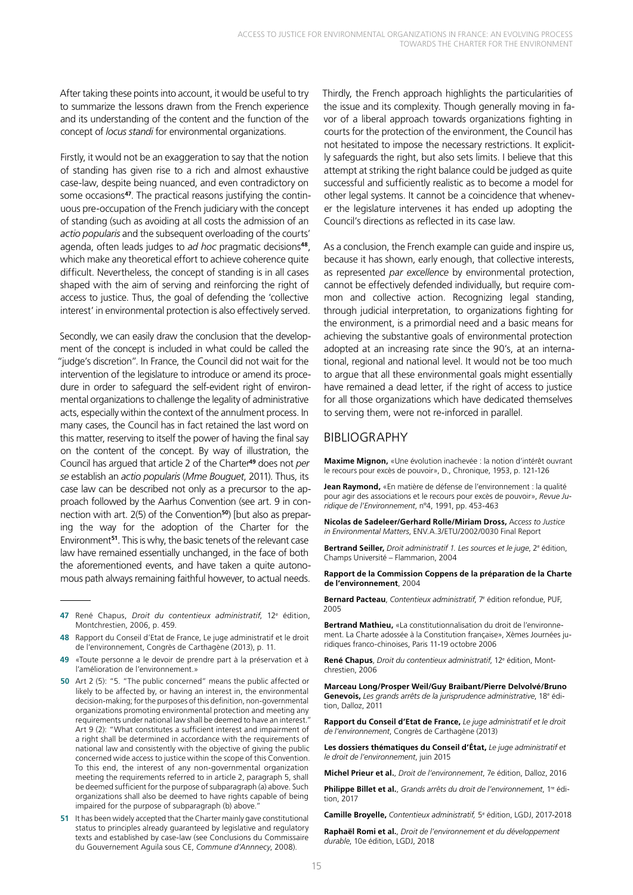<span id="page-14-0"></span>After taking these points into account, it would be useful to try to summarize the lessons drawn from the French experience and its understanding of the content and the function of the concept of *locus standi* for environmental organizations.

Firstly, it would not be an exaggeration to say that the notion of standing has given rise to a rich and almost exhaustive case-law, despite being nuanced, and even contradictory on some occasions**47**. The practical reasons justifying the continuous pre-occupation of the French judiciary with the concept of standing (such as avoiding at all costs the admission of an *actio popularis* and the subsequent overloading of the courts' agenda, often leads judges to *ad hoc* pragmatic decisions**<sup>48</sup>**, which make any theoretical effort to achieve coherence quite difficult. Nevertheless, the concept of standing is in all cases shaped with the aim of serving and reinforcing the right of access to justice. Thus, the goal of defending the 'collective interest' in environmental protection is also effectively served.

Secondly, we can easily draw the conclusion that the development of the concept is included in what could be called the "judge's discretion". In France, the Council did not wait for the intervention of the legislature to introduce or amend its procedure in order to safeguard the self-evident right of environmental organizations to challenge the legality of administrative acts, especially within the context of the annulment process. In many cases, the Council has in fact retained the last word on this matter, reserving to itself the power of having the final say on the content of the concept. By way of illustration, the Council has argued that article 2 of the Charter**<sup>49</sup>** does not *per se* establish an *actio popularis* (*Mme Bouguet*, 2011). Thus, its case law can be described not only as a precursor to the approach followed by the Aarhus Convention (see art. 9 in connection with art. 2(5) of the Convention**50**) [but also as preparing the way for the adoption of the Charter for the Environment**<sup>51</sup>**. This is why, the basic tenets of the relevant case law have remained essentially unchanged, in the face of both the aforementioned events, and have taken a quite autonomous path always remaining faithful however, to actual needs.

- **47** René Chapus, *Droit du contentieux administratif*, 12e édition, Montchrestien, 2006, p. 459.
- **48** Rapport du Conseil d'Etat de France, Le juge administratif et le droit de l'environnement, Congrès de Carthagène (2013), p. 11.
- **49** «Toute personne a le devoir de prendre part à la préservation et à l'amélioration de l'environnement.»
- **50** Art 2 (5): "5. "The public concerned" means the public affected or likely to be affected by, or having an interest in, the environmental decision-making; for the purposes of this definition, non-governmental organizations promoting environmental protection and meeting any requirements under national law shall be deemed to have an interest." Art 9 (2): "What constitutes a sufficient interest and impairment of a right shall be determined in accordance with the requirements of national law and consistently with the objective of giving the public concerned wide access to justice within the scope of this Convention. To this end, the interest of any non-governmental organization meeting the requirements referred to in article 2, paragraph 5, shall be deemed sufficient for the purpose of subparagraph (a) above. Such organizations shall also be deemed to have rights capable of being impaired for the purpose of subparagraph (b) above.'
- **51** It has been widely accepted that the Charter mainly gave constitutional status to principles already guaranteed by legislative and regulatory texts and established by case-law (see Conclusions du Commissaire du Gouvernement Aguila sous CE, *Commune d'Annnecy*, 2008).

Thirdly, the French approach highlights the particularities of the issue and its complexity. Though generally moving in favor of a liberal approach towards organizations fighting in courts for the protection of the environment, the Council has not hesitated to impose the necessary restrictions. It explicitly safeguards the right, but also sets limits. I believe that this attempt at striking the right balance could be judged as quite successful and sufficiently realistic as to become a model for other legal systems. It cannot be a coincidence that whenever the legislature intervenes it has ended up adopting the Council's directions as reflected in its case law.

As a conclusion, the French example can guide and inspire us, because it has shown, early enough, that collective interests, as represented *par excellence* by environmental protection, cannot be effectively defended individually, but require common and collective action. Recognizing legal standing, through judicial interpretation, to organizations fighting for the environment, is a primordial need and a basic means for achieving the substantive goals of environmental protection adopted at an increasing rate since the 90's, at an international, regional and national level. It would not be too much to argue that all these environmental goals might essentially have remained a dead letter, if the right of access to justice for all those organizations which have dedicated themselves to serving them, were not re-inforced in parallel.

#### BIBLIOGRAPHY

**Maxime Mignon,** «Une évolution inachevée : la notion d'intérêt ouvrant le recours pour excès de pouvoir», D., Chronique, 1953, p. 121-126

**Jean Raymond,** «En matière de défense de l'environnement : la qualité pour agir des associations et le recours pour excès de pouvoir», *Revue Juridique de l'Environnement*, n°4, 1991, pp. 453-463

**Nicolas de Sadeleer/Gerhard Rolle/Miriam Dross,** A*ccess to Justice in Environmental Matters*, ENV.A.3/ETU/2002/0030 Final Report

**Bertrand Seiller,** *Droit administratif 1. Les sources et le juge*, 2<sup>e</sup> édition, Champs Université – Flammarion, 2004

**Rapport de la Commission Coppens de la préparation de la Charte de l'environnement**, 2004

**Bernard Pacteau**, *Contentieux administratif*, 7e édition refondue, PUF, 2005

**Bertrand Mathieu,** «La constitutionnalisation du droit de l'environnement. La Charte adossée à la Constitution française», Xèmes Journées juridiques franco-chinoises, Paris 11-19 octobre 2006

René Chapus, Droit du contentieux administratif, 12<sup>e</sup> édition, Montchrestien, 2006

**Marceau Long/Prosper Weil/Guy Braibant/Pierre Delvolvé/Bruno Genevois,** *Les grands arrêts de la jurisprudence administrative*, 18e édition, Dalloz, 2011

**Rapport du Conseil d'Etat de France,** *Le juge administratif et le droit de l'environnement*, Congrès de Carthagène (2013)

**Les dossiers thématiques du Conseil d'État,** *Le juge administratif et le droit de l'environnement*, juin 2015

**Michel Prieur et al.**, *Droit de l'environnement*, 7e édition, Dalloz, 2016

**Philippe Billet et al.**, *Grands arrêts du droit de l'environnement*, 1re édition, 2017

**Camille Broyelle,** *Contentieux administratif,* 5e édition, LGDJ, 2017-2018

**Raphaël Romi et al.**, *Droit de l'environnement et du développement durable*, 10e édition, LGDJ, 2018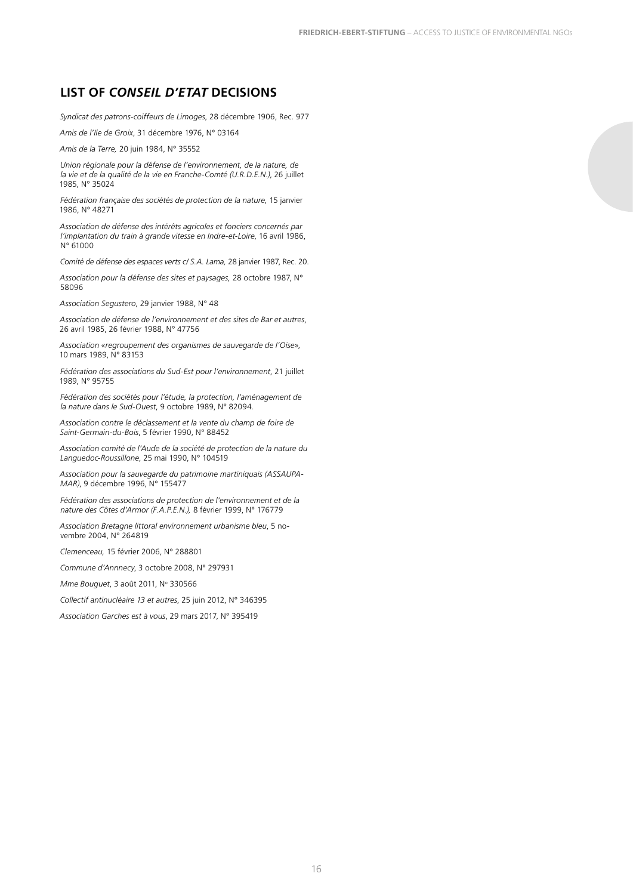#### <span id="page-15-0"></span>**LIST OF** *CONSEIL D'ETAT* **DECISIONS**

*Syndicat des patrons-coiffeurs de Limoges*, 28 décembre 1906, Rec. 977

*Amis de l'Ile de Groix*, 31 décembre 1976, N° 03164

*Amis de la Terre,* 20 juin 1984, N° 35552

*Union régionale pour la défense de l'environnement, de la nature, de la vie et de la qualité de la vie en Franche-Comté (U.R.D.E.N.)*, 26 juillet 1985, N° 35024

*Fédération française des sociétés de protection de la nature,* 15 janvier 1986, N° 48271

*Association de défense des intérêts agricoles et fonciers concernés par l'implantation du train à grande vitesse en Indre-et-Loire*, 16 avril 1986, N° 61000

*Comité de défense des espaces verts c/ S.A. Lama,* 28 janvier 1987, Rec. 20.

*Association pour la défense des sites et paysages,* 28 octobre 1987, N° 58096

*Association Segustero*, 29 janvier 1988, N° 48

*Association de défense de l'environnement et des sites de Bar et autres*, 26 avril 1985, 26 février 1988, N° 47756

*Association «regroupement des organismes de sauvegarde de l'Oise»*, 10 mars 1989, N° 83153

*Fédération des associations du Sud-Est pour l'environnement*, 21 juillet 1989, N° 95755

*Fédération des sociétés pour l'étude, la protection, l'aménagement de la nature dans le Sud-Ouest*, 9 octobre 1989, N° 82094.

*Association contre le déclassement et la vente du champ de foire de Saint-Germain-du-Bois*, 5 février 1990, N° 88452

*Association comité de l'Aude de la société de protection de la nature du Languedoc-Roussillone*, 25 mai 1990, N° 104519

*Association pour la sauvegarde du patrimoine martiniquais (ASSAUPA-MAR)*, 9 décembre 1996, N° 155477

*Fédération des associations de protection de l'environnement et de la nature des Côtes d'Armor (F.A.P.E.N.),* 8 février 1999, N° 176779

*Association Bretagne littoral environnement urbanisme bleu*, 5 novembre 2004, N° 264819

*Clemenceau,* 15 février 2006, N° 288801

*Commune d'Annnecy*, 3 octobre 2008, N° 297931

Mme Bouguet, 3 août 2011, Nº 330566

*Collectif antinucléaire 13 et autres*, 25 juin 2012, N° 346395

*Association Garches est à vous*, 29 mars 2017, N° 395419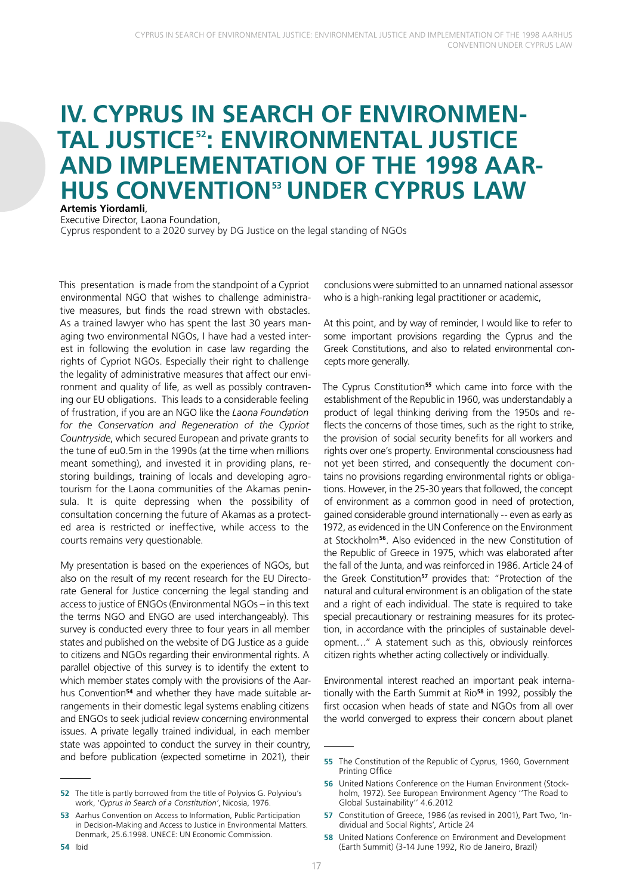## <span id="page-16-0"></span>**IV. CYPRUS IN SEARCH OF ENVIRONMEN-TAL JUSTICE52: ENVIRONMENTAL JUSTICE AND IMPLEMENTATION OF THE 1998 AAR-HUS CONVENTION<sup>53</sup> UNDER CYPRUS LAW Artemis Yiordamli**,

Executive Director, Laona Foundation,

Cyprus respondent to a 2020 survey by DG Justice on the legal standing of NGOs

This presentation is made from the standpoint of a Cypriot environmental NGO that wishes to challenge administrative measures, but finds the road strewn with obstacles. As a trained lawyer who has spent the last 30 years managing two environmental NGOs, I have had a vested interest in following the evolution in case law regarding the rights of Cypriot NGOs. Especially their right to challenge the legality of administrative measures that affect our environment and quality of life, as well as possibly contravening our EU obligations. This leads to a considerable feeling of frustration, if you are an NGO like the *Laona Foundation for the Conservation and Regeneration of the Cypriot Countryside*, which secured European and private grants to the tune of eu0.5m in the 1990s (at the time when millions meant something), and invested it in providing plans, restoring buildings, training of locals and developing agrotourism for the Laona communities of the Akamas peninsula. It is quite depressing when the possibility of consultation concerning the future of Akamas as a protected area is restricted or ineffective, while access to the courts remains very questionable.

My presentation is based on the experiences of NGOs, but also on the result of my recent research for the EU Directorate General for Justice concerning the legal standing and access to justice of ENGOs (Environmental NGOs – in this text the terms NGO and ENGO are used interchangeably). This survey is conducted every three to four years in all member states and published on the website of DG Justice as a guide to citizens and NGOs regarding their environmental rights. A parallel objective of this survey is to identify the extent to which member states comply with the provisions of the Aarhus Convention**54** and whether they have made suitable arrangements in their domestic legal systems enabling citizens and ENGOs to seek judicial review concerning environmental issues. A private legally trained individual, in each member state was appointed to conduct the survey in their country, and before publication (expected sometime in 2021), their

**54** Ibid

conclusions were submitted to an unnamed national assessor who is a high-ranking legal practitioner or academic,

At this point, and by way of reminder, I would like to refer to some important provisions regarding the Cyprus and the Greek Constitutions, and also to related environmental concepts more generally.

The Cyprus Constitution**<sup>55</sup>** which came into force with the establishment of the Republic in 1960, was understandably a product of legal thinking deriving from the 1950s and reflects the concerns of those times, such as the right to strike, the provision of social security benefits for all workers and rights over one's property. Environmental consciousness had not yet been stirred, and consequently the document contains no provisions regarding environmental rights or obligations. However, in the 25-30 years that followed, the concept of environment as a common good in need of protection, gained considerable ground internationally -- even as early as 1972, as evidenced in the UN Conference on the Environment at Stockholm**<sup>56</sup>**. Also evidenced in the new Constitution of the Republic of Greece in 1975, which was elaborated after the fall of the Junta, and was reinforced in 1986. Article 24 of the Greek Constitution**<sup>57</sup>** provides that: "Protection of the natural and cultural environment is an obligation of the state and a right of each individual. The state is required to take special precautionary or restraining measures for its protection, in accordance with the principles of sustainable development…" A statement such as this, obviously reinforces citizen rights whether acting collectively or individually.

Environmental interest reached an important peak internationally with the Earth Summit at Rio**<sup>58</sup>** in 1992, possibly the first occasion when heads of state and NGOs from all over the world converged to express their concern about planet

**<sup>52</sup>** The title is partly borrowed from the title of Polyvios G. Polyviou's work, '*Cyprus in Search of a Constitution'*, Nicosia, 1976.

**<sup>53</sup>** Aarhus Convention on Access to Information, Public Participation in Decision-Making and Access to Justice in Environmental Matters. Denmark, 25.6.1998. UNECE: UN Economic Commission.

**<sup>55</sup>** The Constitution of the Republic of Cyprus, 1960, Government Printing Office

**<sup>56</sup>** United Nations Conference on the Human Environment (Stockholm, 1972). See European Environment Agency ''The Road to Global Sustainability'' 4.6.2012

**<sup>57</sup>** Constitution of Greece, 1986 (as revised in 2001), Part Two, 'Individual and Social Rights', Article 24

**<sup>58</sup>** United Nations Conference on Environment and Development (Earth Summit) (3-14 June 1992, Rio de Janeiro, Brazil)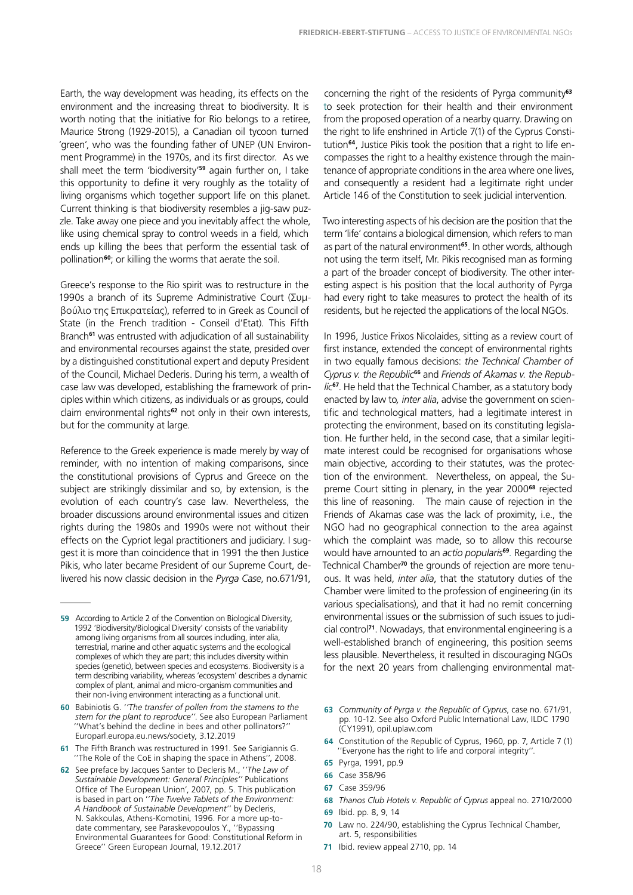Earth, the way development was heading, its effects on the environment and the increasing threat to biodiversity. It is worth noting that the initiative for Rio belongs to a retiree, Maurice Strong (1929-2015), a Canadian oil tycoon turned 'green', who was the founding father of UNEP (UN Environment Programme) in the 1970s, and its first director. As we shall meet the term 'biodiversity'**<sup>59</sup>** again further on, I take this opportunity to define it very roughly as the totality of living organisms which together support life on this planet. Current thinking is that biodiversity resembles a jig-saw puzzle. Take away one piece and you inevitably affect the whole, like using chemical spray to control weeds in a field, which ends up killing the bees that perform the essential task of pollination**<sup>60</sup>**; or killing the worms that aerate the soil.

Greece's response to the Rio spirit was to restructure in the 1990s a branch of its Supreme Administrative Court (Συμβούλιο της Επικρατείας), referred to in Greek as Council of State (in the French tradition - Conseil d'Etat). This Fifth Branch**<sup>61</sup>** was entrusted with adjudication of all sustainability and environmental recourses against the state, presided over by a distinguished constitutional expert and deputy President of the Council, Michael Decleris. During his term, a wealth of case law was developed, establishing the framework of principles within which citizens, as individuals or as groups, could claim environmental rights**<sup>62</sup>** not only in their own interests, but for the community at large.

Reference to the Greek experience is made merely by way of reminder, with no intention of making comparisons, since the constitutional provisions of Cyprus and Greece on the subject are strikingly dissimilar and so, by extension, is the evolution of each country's case law. Nevertheless, the broader discussions around environmental issues and citizen rights during the 1980s and 1990s were not without their effects on the Cypriot legal practitioners and judiciary. I suggest it is more than coincidence that in 1991 the then Justice Pikis, who later became President of our Supreme Court, delivered his now classic decision in the *Pyrga Case*, no.671/91,

- **61** The Fifth Branch was restructured in 1991. See Sarigiannis G. ''The Role of the CoE in shaping the space in Athens'', 2008.
- **62** See preface by Jacques Santer to Decleris M., '*'The Law of Sustainable Development: General Principles''* Publications Office of The European Union', 2007, pp. 5. This publication is based in part on '*'The Twelve Tablets of the Environment: A Handbook of Sustainable Development*'' by Decleris, N. Sakkoulas, Athens-Komotini, 1996. For a more up-todate commentary, see Paraskevopoulos Y., ''Bypassing Environmental Guarantees for Good: Constitutional Reform in Greece'' Green European Journal, 19.12.2017

concerning the right of the residents of Pyrga community**<sup>63</sup>** to seek protection for their health and their environment from the proposed operation of a nearby quarry. Drawing on the right to life enshrined in Article 7(1) of the Cyprus Constitution**64**, Justice Pikis took the position that a right to life encompasses the right to a healthy existence through the maintenance of appropriate conditions in the area where one lives, and consequently a resident had a legitimate right under Article 146 of the Constitution to seek judicial intervention.

Two interesting aspects of his decision are the position that the term 'life' contains a biological dimension, which refers to man as part of the natural environment**<sup>65</sup>**. In other words, although not using the term itself, Mr. Pikis recognised man as forming a part of the broader concept of biodiversity. The other interesting aspect is his position that the local authority of Pyrga had every right to take measures to protect the health of its residents, but he rejected the applications of the local NGOs.

In 1996, Justice Frixos Nicolaides, sitting as a review court of first instance, extended the concept of environmental rights in two equally famous decisions: *the Technical Chamber of Cyprus v. the Republic***<sup>66</sup>** and *Friends of Akamas v. the Republic***<sup>67</sup>**. He held that the Technical Chamber, as a statutory body enacted by law to*, inter alia*, advise the government on scientific and technological matters, had a legitimate interest in protecting the environment, based on its constituting legislation. He further held, in the second case, that a similar legitimate interest could be recognised for organisations whose main objective, according to their statutes, was the protection of the environment. Nevertheless, on appeal, the Supreme Court sitting in plenary, in the year 2000**<sup>68</sup>** rejected this line of reasoning. The main cause of rejection in the Friends of Akamas case was the lack of proximity, i.e., the NGO had no geographical connection to the area against which the complaint was made, so to allow this recourse would have amounted to an *actio popularis***<sup>69</sup>***.* Regarding the Technical Chamber**<sup>70</sup>** the grounds of rejection are more tenuous. It was held, *inter alia*, that the statutory duties of the Chamber were limited to the profession of engineering (in its various specialisations), and that it had no remit concerning environmental issues or the submission of such issues to judicial control**<sup>71</sup>**. Nowadays, that environmental engineering is a well-established branch of engineering, this position seems less plausible. Nevertheless, it resulted in discouraging NGOs for the next 20 years from challenging environmental mat-

- **63** *Community of Pyrga v. the Republic of Cyprus*, case no. 671/91, pp. 10-12. See also Oxford Public International Law, ILDC 1790 (CY1991), opil.uplaw.com
- **64** Constitution of the Republic of Cyprus, 1960, pp. 7, Article 7 (1) 'Everyone has the right to life and corporal integrity".
- **65** Pyrga, 1991, pp.9
- **66** Case 358/96
- **67** Case 359/96
- **68** *Thanos Club Hotels v. Republic of Cyprus* appeal no. 2710/2000
- **69** Ibid. pp. 8, 9, 14
- **70** Law no. 224/90, establishing the Cyprus Technical Chamber, art. 5, responsibilities
- **71** Ibid. review appeal 2710, pp. 14

**<sup>59</sup>** According to Article 2 of the Convention on Biological Diversity, 1992 'Biodiversity/Biological Diversity' consists of the variability among living organisms from all sources including, inter alia, terrestrial, marine and other aquatic systems and the ecological complexes of which they are part; this includes diversity within species (genetic), between species and ecosystems. Biodiversity is a term describing variability, whereas 'ecosystem' describes a dynamic complex of plant, animal and micro-organism communities and their non-living environment interacting as a functional unit.

**<sup>60</sup>** Babiniotis G. '*'The transfer of pollen from the stamens to the stem for the plant to reproduce''*. See also European Parliament ''What's behind the decline in bees and other pollinators?'' Europarl.europa.eu.news/society, 3.12.2019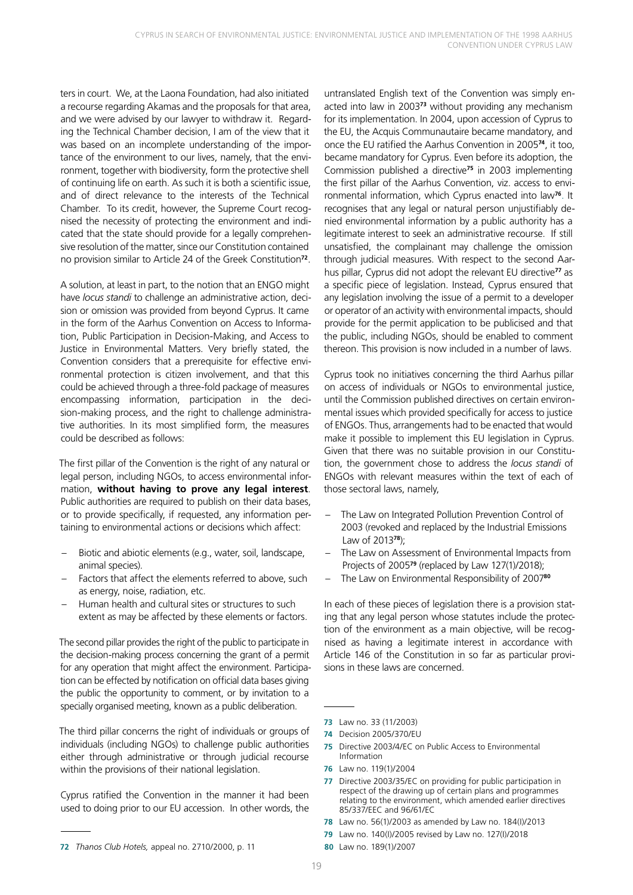ters in court. We, at the Laona Foundation, had also initiated a recourse regarding Akamas and the proposals for that area, and we were advised by our lawyer to withdraw it. Regarding the Technical Chamber decision, I am of the view that it was based on an incomplete understanding of the importance of the environment to our lives, namely, that the environment, together with biodiversity, form the protective shell of continuing life on earth. As such it is both a scientific issue, and of direct relevance to the interests of the Technical Chamber. To its credit, however, the Supreme Court recognised the necessity of protecting the environment and indicated that the state should provide for a legally comprehensive resolution of the matter, since our Constitution contained no provision similar to Article 24 of the Greek Constitution**<sup>72</sup>**.

A solution, at least in part, to the notion that an ENGO might have *locus standi* to challenge an administrative action, decision or omission was provided from beyond Cyprus. It came in the form of the Aarhus Convention on Access to Information, Public Participation in Decision-Making, and Access to Justice in Environmental Matters. Very briefly stated, the Convention considers that a prerequisite for effective environmental protection is citizen involvement, and that this could be achieved through a three-fold package of measures encompassing information, participation in the decision-making process, and the right to challenge administrative authorities. In its most simplified form, the measures could be described as follows:

The first pillar of the Convention is the right of any natural or legal person, including NGOs, to access environmental information, **without having to prove any legal interest**. Public authorities are required to publish on their data bases, or to provide specifically, if requested, any information pertaining to environmental actions or decisions which affect:

- Biotic and abiotic elements (e.g., water, soil, landscape, animal species).
- Factors that affect the elements referred to above, such as energy, noise, radiation, etc.
- Human health and cultural sites or structures to such extent as may be affected by these elements or factors.

The second pillar provides the right of the public to participate in the decision-making process concerning the grant of a permit for any operation that might affect the environment. Participation can be effected by notification on official data bases giving the public the opportunity to comment, or by invitation to a specially organised meeting, known as a public deliberation.

The third pillar concerns the right of individuals or groups of individuals (including NGOs) to challenge public authorities either through administrative or through judicial recourse within the provisions of their national legislation.

Cyprus ratified the Convention in the manner it had been used to doing prior to our EU accession. In other words, the

untranslated English text of the Convention was simply enacted into law in 2003**<sup>73</sup>** without providing any mechanism for its implementation. In 2004, upon accession of Cyprus to the EU, the Acquis Communautaire became mandatory, and once the EU ratified the Aarhus Convention in 2005**<sup>74</sup>**, it too, became mandatory for Cyprus. Even before its adoption, the Commission published a directive**<sup>75</sup>** in 2003 implementing the first pillar of the Aarhus Convention, viz. access to environmental information, which Cyprus enacted into law**<sup>76</sup>**. It recognises that any legal or natural person unjustifiably denied environmental information by a public authority has a legitimate interest to seek an administrative recourse. If still unsatisfied, the complainant may challenge the omission through judicial measures. With respect to the second Aarhus pillar, Cyprus did not adopt the relevant EU directive**<sup>77</sup>** as a specific piece of legislation. Instead, Cyprus ensured that any legislation involving the issue of a permit to a developer or operator of an activity with environmental impacts, should provide for the permit application to be publicised and that the public, including NGOs, should be enabled to comment thereon. This provision is now included in a number of laws.

Cyprus took no initiatives concerning the third Aarhus pillar on access of individuals or NGOs to environmental justice, until the Commission published directives on certain environmental issues which provided specifically for access to justice of ENGOs. Thus, arrangements had to be enacted that would make it possible to implement this EU legislation in Cyprus. Given that there was no suitable provision in our Constitution, the government chose to address the *locus standi* of ENGOs with relevant measures within the text of each of those sectoral laws, namely,

- The Law on Integrated Pollution Prevention Control of 2003 (revoked and replaced by the Industrial Emissions Law of 2013**<sup>78</sup>**);
- The Law on Assessment of Environmental Impacts from Projects of 2005**<sup>79</sup>** (replaced by Law 127(1)/2018);
- The Law on Environmental Responsibility of 2007**<sup>80</sup>**

In each of these pieces of legislation there is a provision stating that any legal person whose statutes include the protection of the environment as a main objective, will be recognised as having a legitimate interest in accordance with Article 146 of the Constitution in so far as particular provisions in these laws are concerned.

- **75** Directive 2003/4/EC on Public Access to Environmental Information
- **76** Law no. 119(1)/2004
- **77** Directive 2003/35/EC on providing for public participation in respect of the drawing up of certain plans and programmes relating to the environment, which amended earlier directives 85/337/EEC and 96/61/EC
- **78** Law no. 56(1)/2003 as amended by Law no. 184(I)/2013
- **79** Law no. 140(I)/2005 revised by Law no. 127(I)/2018
- **80** Law no. 189(1)/2007

**<sup>72</sup>** *Thanos Club Hotels,* appeal no. 2710/2000, p. 11

**<sup>73</sup>** Law no. 33 (11/2003)

**<sup>74</sup>** Decision 2005/370/EU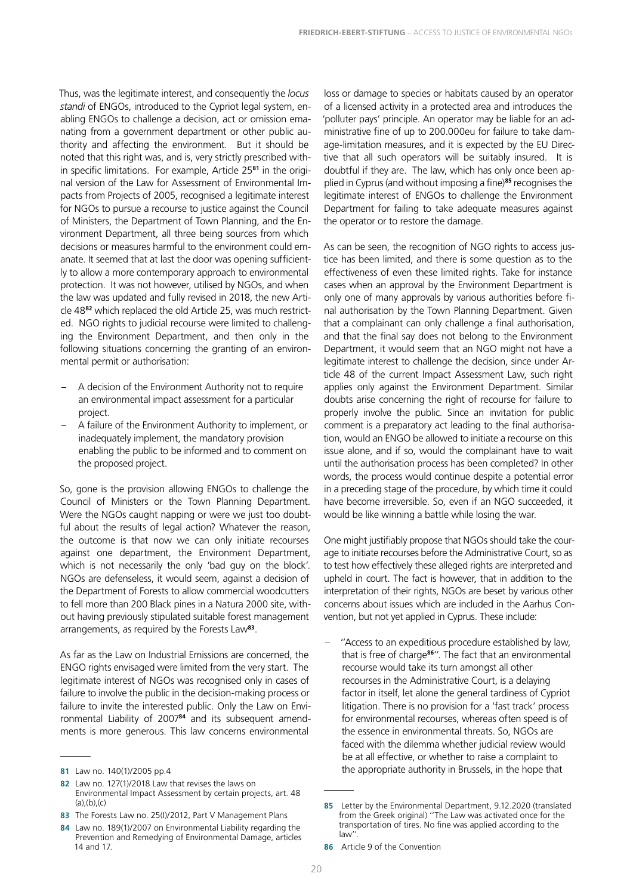Thus, was the legitimate interest, and consequently the *locus standi* of ENGOs, introduced to the Cypriot legal system, enabling ENGOs to challenge a decision, act or omission emanating from a government department or other public authority and affecting the environment. But it should be noted that this right was, and is, very strictly prescribed within specific limitations. For example, Article 25**81** in the original version of the Law for Assessment of Environmental Impacts from Projects of 2005, recognised a legitimate interest for NGOs to pursue a recourse to justice against the Council of Ministers, the Department of Town Planning, and the Environment Department, all three being sources from which decisions or measures harmful to the environment could emanate. It seemed that at last the door was opening sufficiently to allow a more contemporary approach to environmental protection. It was not however, utilised by NGOs, and when the law was updated and fully revised in 2018, the new Article 48**82** which replaced the old Article 25, was much restricted. NGO rights to judicial recourse were limited to challenging the Environment Department, and then only in the following situations concerning the granting of an environmental permit or authorisation:

- A decision of the Environment Authority not to require an environmental impact assessment for a particular project.
- A failure of the Environment Authority to implement, or inadequately implement, the mandatory provision enabling the public to be informed and to comment on the proposed project.

So, gone is the provision allowing ENGOs to challenge the Council of Ministers or the Town Planning Department. Were the NGOs caught napping or were we just too doubtful about the results of legal action? Whatever the reason, the outcome is that now we can only initiate recourses against one department, the Environment Department, which is not necessarily the only 'bad guy on the block'. NGOs are defenseless, it would seem, against a decision of the Department of Forests to allow commercial woodcutters to fell more than 200 Black pines in a Natura 2000 site, without having previously stipulated suitable forest management arrangements, as required by the Forests Law**<sup>83</sup>**.

As far as the Law on Industrial Emissions are concerned, the ENGO rights envisaged were limited from the very start. The legitimate interest of NGOs was recognised only in cases of failure to involve the public in the decision-making process or failure to invite the interested public. Only the Law on Environmental Liability of 2007**84** and its subsequent amendments is more generous. This law concerns environmental

**83** The Forests Law no. 25(I)/2012, Part V Management Plans

loss or damage to species or habitats caused by an operator of a licensed activity in a protected area and introduces the 'polluter pays' principle. An operator may be liable for an administrative fine of up to 200.000eu for failure to take damage-limitation measures, and it is expected by the EU Directive that all such operators will be suitably insured. It is doubtful if they are. The law, which has only once been applied in Cyprus (and without imposing a fine)**<sup>85</sup>** recognises the legitimate interest of ENGOs to challenge the Environment Department for failing to take adequate measures against the operator or to restore the damage.

As can be seen, the recognition of NGO rights to access justice has been limited, and there is some question as to the effectiveness of even these limited rights. Take for instance cases when an approval by the Environment Department is only one of many approvals by various authorities before final authorisation by the Town Planning Department. Given that a complainant can only challenge a final authorisation, and that the final say does not belong to the Environment Department, it would seem that an NGO might not have a legitimate interest to challenge the decision, since under Article 48 of the current Impact Assessment Law, such right applies only against the Environment Department. Similar doubts arise concerning the right of recourse for failure to properly involve the public. Since an invitation for public comment is a preparatory act leading to the final authorisation, would an ENGO be allowed to initiate a recourse on this issue alone, and if so, would the complainant have to wait until the authorisation process has been completed? In other words, the process would continue despite a potential error in a preceding stage of the procedure, by which time it could have become irreversible. So, even if an NGO succeeded, it would be like winning a battle while losing the war.

One might justifiably propose that NGOs should take the courage to initiate recourses before the Administrative Court, so as to test how effectively these alleged rights are interpreted and upheld in court. The fact is however, that in addition to the interpretation of their rights, NGOs are beset by various other concerns about issues which are included in the Aarhus Convention, but not yet applied in Cyprus. These include:

– ''Access to an expeditious procedure established by law, that is free of charge**<sup>86</sup>**''. The fact that an environmental recourse would take its turn amongst all other recourses in the Administrative Court, is a delaying factor in itself, let alone the general tardiness of Cypriot litigation. There is no provision for a 'fast track' process for environmental recourses, whereas often speed is of the essence in environmental threats. So, NGOs are faced with the dilemma whether judicial review would be at all effective, or whether to raise a complaint to the appropriate authority in Brussels, in the hope that

**<sup>81</sup>** Law no. 140(1)/2005 pp.4

**<sup>82</sup>** Law no. 127(1)/2018 Law that revises the laws on Environmental Impact Assessment by certain projects, art. 48  $(a)$  $(b)$  $(c)$ 

**<sup>84</sup>** Law no. 189(1)/2007 on Environmental Liability regarding the Prevention and Remedying of Environmental Damage, articles 14 and 17.

**<sup>85</sup>** Letter by the Environmental Department, 9.12.2020 (translated from the Greek original) "The Law was activated once for the transportation of tires. No fine was applied according to the law''.

**<sup>86</sup>** Article 9 of the Convention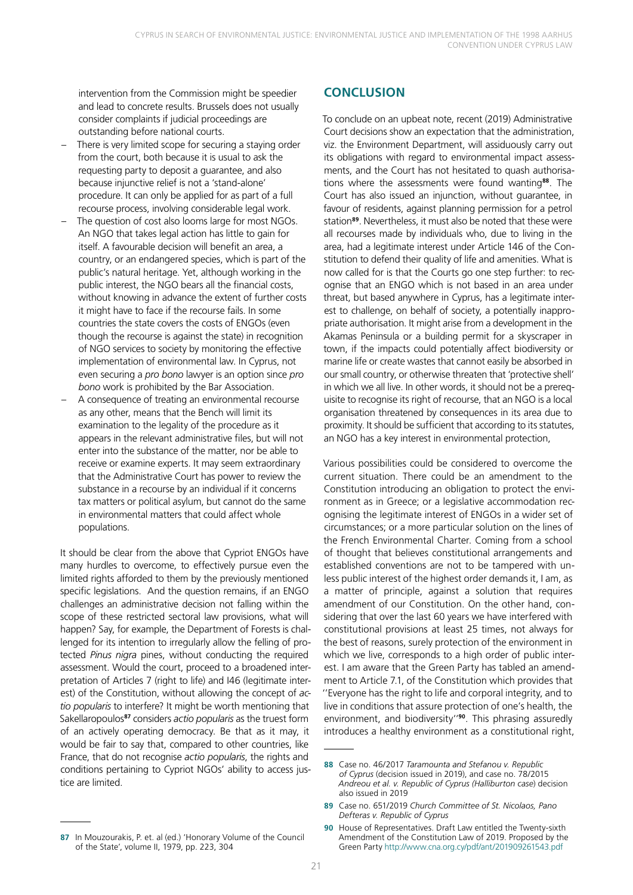<span id="page-20-0"></span>intervention from the Commission might be speedier and lead to concrete results. Brussels does not usually consider complaints if judicial proceedings are outstanding before national courts.

- There is very limited scope for securing a staying order from the court, both because it is usual to ask the requesting party to deposit a guarantee, and also because injunctive relief is not a 'stand-alone' procedure. It can only be applied for as part of a full recourse process, involving considerable legal work.
- The question of cost also looms large for most NGOs. An NGO that takes legal action has little to gain for itself. A favourable decision will benefit an area, a country, or an endangered species, which is part of the public's natural heritage. Yet, although working in the public interest, the NGO bears all the financial costs, without knowing in advance the extent of further costs it might have to face if the recourse fails. In some countries the state covers the costs of ENGOs (even though the recourse is against the state) in recognition of NGO services to society by monitoring the effective implementation of environmental law. In Cyprus, not even securing a *pro bono* lawyer is an option since *pro bono* work is prohibited by the Bar Association.
- A consequence of treating an environmental recourse as any other, means that the Bench will limit its examination to the legality of the procedure as it appears in the relevant administrative files, but will not enter into the substance of the matter, nor be able to receive or examine experts. It may seem extraordinary that the Administrative Court has power to review the substance in a recourse by an individual if it concerns tax matters or political asylum, but cannot do the same in environmental matters that could affect whole populations.

It should be clear from the above that Cypriot ENGOs have many hurdles to overcome, to effectively pursue even the limited rights afforded to them by the previously mentioned specific legislations. And the question remains, if an ENGO challenges an administrative decision not falling within the scope of these restricted sectoral law provisions, what will happen? Say, for example, the Department of Forests is challenged for its intention to irregularly allow the felling of protected *Pinus nigra* pines, without conducting the required assessment. Would the court, proceed to a broadened interpretation of Articles 7 (right to life) and I46 (legitimate interest) of the Constitution, without allowing the concept of *actio popularis* to interfere? It might be worth mentioning that Sakellaropoulos**<sup>87</sup>** considers *actio popularis* as the truest form of an actively operating democracy. Be that as it may, it would be fair to say that, compared to other countries, like France, that do not recognise *actio popularis*, the rights and conditions pertaining to Cypriot NGOs' ability to access justice are limited.

To conclude on an upbeat note, recent (2019) Administrative Court decisions show an expectation that the administration, viz. the Environment Department, will assiduously carry out its obligations with regard to environmental impact assessments, and the Court has not hesitated to quash authorisations where the assessments were found wanting**<sup>88</sup>**. The Court has also issued an injunction, without guarantee, in favour of residents, against planning permission for a petrol station**<sup>89</sup>**. Nevertheless, it must also be noted that these were all recourses made by individuals who, due to living in the area, had a legitimate interest under Article 146 of the Constitution to defend their quality of life and amenities. What is now called for is that the Courts go one step further: to recognise that an ENGO which is not based in an area under threat, but based anywhere in Cyprus, has a legitimate interest to challenge, on behalf of society, a potentially inappropriate authorisation. It might arise from a development in the Akamas Peninsula or a building permit for a skyscraper in town, if the impacts could potentially affect biodiversity or marine life or create wastes that cannot easily be absorbed in our small country, or otherwise threaten that 'protective shell' in which we all live. In other words, it should not be a prerequisite to recognise its right of recourse, that an NGO is a local organisation threatened by consequences in its area due to proximity. It should be sufficient that according to its statutes, an NGO has a key interest in environmental protection,

Various possibilities could be considered to overcome the current situation. There could be an amendment to the Constitution introducing an obligation to protect the environment as in Greece; or a legislative accommodation recognising the legitimate interest of ENGOs in a wider set of circumstances; or a more particular solution on the lines of the French Environmental Charter. Coming from a school of thought that believes constitutional arrangements and established conventions are not to be tampered with unless public interest of the highest order demands it, I am, as a matter of principle, against a solution that requires amendment of our Constitution. On the other hand, considering that over the last 60 years we have interfered with constitutional provisions at least 25 times, not always for the best of reasons, surely protection of the environment in which we live, corresponds to a high order of public interest. I am aware that the Green Party has tabled an amendment to Article 7.1, of the Constitution which provides that ''Everyone has the right to life and corporal integrity, and to live in conditions that assure protection of one's health, the environment, and biodiversity''**<sup>90</sup>**. This phrasing assuredly introduces a healthy environment as a constitutional right,

**CONCLUSION**

**<sup>88</sup>** Case no. 46/2017 *Taramounta and Stefanou v. Republic of Cyprus* (decision issued in 2019), and case no. 78/2015 *Andreou et al. v. Republic of Cyprus (Halliburton case*) decision also issued in 2019

**<sup>89</sup>** Case no. 651/2019 *Church Committee of St. Nicolaos, Pano Defteras v. Republic of Cyprus*

**<sup>90</sup>** House of Representatives. Draft Law entitled the Twenty-sixth Amendment of the Constitution Law of 2019. Proposed by the Green Party <http://www.cna.org.cy/pdf/ant/201909261543.pdf>

**<sup>87</sup>** In Mouzourakis, P. et. al (ed.) 'Honorary Volume of the Council of the State', volume II, 1979, pp. 223, 304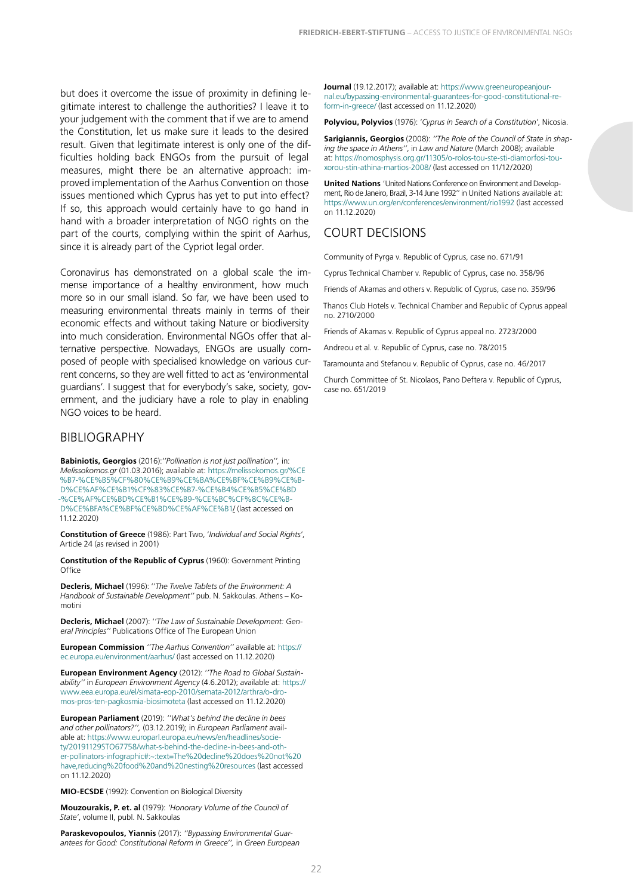<span id="page-21-0"></span>but does it overcome the issue of proximity in defining legitimate interest to challenge the authorities? I leave it to your judgement with the comment that if we are to amend the Constitution, let us make sure it leads to the desired result. Given that legitimate interest is only one of the difficulties holding back ENGOs from the pursuit of legal measures, might there be an alternative approach: improved implementation of the Aarhus Convention on those issues mentioned which Cyprus has yet to put into effect? If so, this approach would certainly have to go hand in hand with a broader interpretation of NGO rights on the part of the courts, complying within the spirit of Aarhus, since it is already part of the Cypriot legal order.

Coronavirus has demonstrated on a global scale the immense importance of a healthy environment, how much more so in our small island. So far, we have been used to measuring environmental threats mainly in terms of their economic effects and without taking Nature or biodiversity into much consideration. Environmental NGOs offer that alternative perspective. Nowadays, ENGOs are usually composed of people with specialised knowledge on various current concerns, so they are well fitted to act as 'environmental guardians'. I suggest that for everybody's sake, society, government, and the judiciary have a role to play in enabling NGO voices to be heard.

#### BIBLIOGRAPHY

**Babiniotis, Georgios** (2016):*''Pollination is not just pollination'',* in: *Melissokomos.gr* (01.03.2016); available at: [https://melissokomos.gr/%CE](https://melissokomos.gr/%CE%B7-%CE%B5%CF%80%CE%B9%CE%BA%CE%BF%CE%B9%CE%BD%CE%AF%CE%B1%CF%83%CE%B7-%CE%B4%CE%B5%CE%BD-%CE%B5%CE%AF%CE%BD%CE%B1%CE%B9-%CE%BC%CF%8C%CE%BD%CE%BF-%CE%B5%CF%80%CE%B9%CE%BA%CE%BF%CE%BD%CE%AF%CE%B1/) [%B7-%CE%B5%CF%80%CE%B9%CE%BA%CE%BF%CE%B9%CE%B-](https://melissokomos.gr/%CE%B7-%CE%B5%CF%80%CE%B9%CE%BA%CE%BF%CE%B9%CE%BD%CE%AF%CE%B1%CF%83%CE%B7-%CE%B4%CE%B5%CE%BD-%CE%B5%CE%AF%CE%BD%CE%B1%CE%B9-%CE%BC%CF%8C%CE%BD%CE%BF-%CE%B5%CF%80%CE%B9%CE%BA%CE%BF%CE%BD%CE%AF%CE%B1/)[D%CE%AF%CE%B1%CF%83%CE%B7-%CE%B4%CE%B5%CE%BD](https://melissokomos.gr/%CE%B7-%CE%B5%CF%80%CE%B9%CE%BA%CE%BF%CE%B9%CE%BD%CE%AF%CE%B1%CF%83%CE%B7-%CE%B4%CE%B5%CE%BD-%CE%B5%CE%AF%CE%BD%CE%B1%CE%B9-%CE%BC%CF%8C%CE%BD%CE%BF-%CE%B5%CF%80%CE%B9%CE%BA%CE%BF%CE%BD%CE%AF%CE%B1/) [-%CE%AF%CE%BD%CE%B1%CE%B9-%CE%BC%CF%8C%CE%B-](https://melissokomos.gr/%CE%B7-%CE%B5%CF%80%CE%B9%CE%BA%CE%BF%CE%B9%CE%BD%CE%AF%CE%B1%CF%83%CE%B7-%CE%B4%CE%B5%CE%BD-%CE%B5%CE%AF%CE%BD%CE%B1%CE%B9-%CE%BC%CF%8C%CE%BD%CE%BF-%CE%B5%CF%80%CE%B9%CE%BA%CE%BF%CE%BD%CE%AF%CE%B1/)[D%CE%BFA%CE%BF%CE%BD%CE%AF%CE%B1/](https://melissokomos.gr/%CE%B7-%CE%B5%CF%80%CE%B9%CE%BA%CE%BF%CE%B9%CE%BD%CE%AF%CE%B1%CF%83%CE%B7-%CE%B4%CE%B5%CE%BD-%CE%B5%CE%AF%CE%BD%CE%B1%CE%B9-%CE%BC%CF%8C%CE%BD%CE%BF-%CE%B5%CF%80%CE%B9%CE%BA%CE%BF%CE%BD%CE%AF%CE%B1/) (last accessed on 11.12.2020)

**Constitution of Greece** (1986): Part Two, '*Individual and Social Rights*', Article 24 (as revised in 2001)

**Constitution of the Republic of Cyprus** (1960): Government Printing **Office** 

**Decleris, Michael** (1996): ''*The Twelve Tablets of the Environment: A Handbook of Sustainable Development''* pub. N. Sakkoulas. Athens – Komotini

**Decleris, Michael** (2007): '*'The Law of Sustainable Development: General Principles''* Publications Office of The European Union

**European Commission** *''The Aarhus Convention''* available at: [https://](https://ec.europa.eu/environment/aarhus/) [ec.europa.eu/environment/aarhus/](https://ec.europa.eu/environment/aarhus/) (last accessed on 11.12.2020)

**European Environment Agency** (2012): '*'The Road to Global Sustainability''* in *European Environment Agency* (4.6.2012); available at: [https://](https://www.eea.europa.eu/el/simata-eop-2010/semata-2012/arthra/o-dromos-pros-ten-pagkosmia-biosimoteta) [www.eea.europa.eu/el/simata-eop-2010/semata-2012/arthra/o-dro](https://www.eea.europa.eu/el/simata-eop-2010/semata-2012/arthra/o-dromos-pros-ten-pagkosmia-biosimoteta)[mos-pros-ten-pagkosmia-biosimoteta](https://www.eea.europa.eu/el/simata-eop-2010/semata-2012/arthra/o-dromos-pros-ten-pagkosmia-biosimoteta) (last accessed on 11.12.2020)

**European Parliament** (2019): *''What's behind the decline in bees and other pollinators?'',* (03.12.2019); in *European Parliament* available at: [https://www.europarl.europa.eu/news/en/headlines/socie](https://www.europarl.europa.eu/news/en/headlines/society/20191129STO67758/what-s-behind-the-decline-in-bees-and-other-pollinators-infographic#:~:text=The decline does not have,reducing food and nesting resources)[ty/20191129STO67758/what-s-behind-the-decline-in-bees-and-oth](https://www.europarl.europa.eu/news/en/headlines/society/20191129STO67758/what-s-behind-the-decline-in-bees-and-other-pollinators-infographic#:~:text=The decline does not have,reducing food and nesting resources)[er-pollinators-infographic#:~:text=The%20decline%20does%20not%20](https://www.europarl.europa.eu/news/en/headlines/society/20191129STO67758/what-s-behind-the-decline-in-bees-and-other-pollinators-infographic#:~:text=The decline does not have,reducing food and nesting resources) [have,reducing%20food%20and%20nesting%20resources](https://www.europarl.europa.eu/news/en/headlines/society/20191129STO67758/what-s-behind-the-decline-in-bees-and-other-pollinators-infographic#:~:text=The decline does not have,reducing food and nesting resources) (last accessed on 11.12.2020)

**MIO-ECSDE** (1992): Convention on Biological Diversity

**Mouzourakis, P. et. al** (1979): *'Honorary Volume of the Council of State'*, volume II, publ. N. Sakkoulas

**Paraskevopoulos, Yiannis** (2017): *''Bypassing Environmental Guarantees for Good: Constitutional Reform in Greece'',* in *Green European*  **Journal** (19.12.2017); available at: [https://www.greeneuropeanjour](https://www.greeneuropeanjournal.eu/bypassing-environmental-guarantees-for-good-constitutional-reform-in-greece/)[nal.eu/bypassing-environmental-guarantees-for-good-constitutional-re](https://www.greeneuropeanjournal.eu/bypassing-environmental-guarantees-for-good-constitutional-reform-in-greece/)[form-in-greece/](https://www.greeneuropeanjournal.eu/bypassing-environmental-guarantees-for-good-constitutional-reform-in-greece/) (last accessed on 11.12.2020)

**Polyviou, Polyvios** (1976): '*Cyprus in Search of a Constitution'*, Nicosia.

**Sarigiannis, Georgios** (2008): *''The Role of the Council of State in shaping the space in Athens''*, in *Law and Nature* (March 2008); available at: [https://nomosphysis.org.gr/11305/o-rolos-tou-ste-sti-diamorfosi-tou](https://nomosphysis.org.gr/11305/o-rolos-tou-ste-sti-diamorfosi-tou-xorou-stin-athina-martios-2008/)[xorou-stin-athina-martios-2008/](https://nomosphysis.org.gr/11305/o-rolos-tou-ste-sti-diamorfosi-tou-xorou-stin-athina-martios-2008/) (last accessed on 11/12/2020)

**United Nations** 'United Nations Conference on Environment and Development, Rio de Janeiro, Brazil, 3-14 June 1992'' in United Nations available at: <https://www.un.org/en/conferences/environment/rio1992>(last accessed on 11.12.2020)

#### COURT DECISIONS

Community of Pyrga v. Republic of Cyprus, case no. 671/91

Cyprus Technical Chamber v. Republic of Cyprus, case no. 358/96

Friends of Akamas and others v. Republic of Cyprus, case no. 359/96

Thanos Club Hotels v. Technical Chamber and Republic of Cyprus appeal no. 2710/2000

Friends of Akamas v. Republic of Cyprus appeal no. 2723/2000

Andreou et al. v. Republic of Cyprus, case no. 78/2015

Taramounta and Stefanou v. Republic of Cyprus, case no. 46/2017

Church Committee of St. Nicolaos, Pano Deftera v. Republic of Cyprus, case no. 651/2019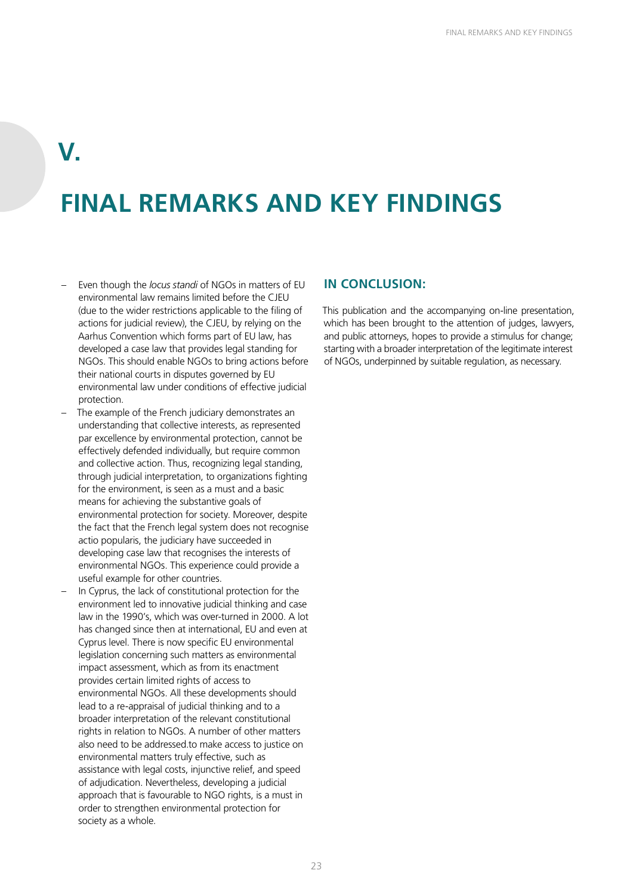## <span id="page-22-0"></span>**V.**

## **FINAL REMARKS AND KEY FINDINGS**

- Even though the *locus standi* of NGOs in matters of EU environmental law remains limited before the CJEU (due to the wider restrictions applicable to the filing of actions for judicial review), the CJEU, by relying on the Aarhus Convention which forms part of EU law, has developed a case law that provides legal standing for NGOs. This should enable NGOs to bring actions before their national courts in disputes governed by EU environmental law under conditions of effective judicial protection.
- The example of the French judiciary demonstrates an understanding that collective interests, as represented par excellence by environmental protection, cannot be effectively defended individually, but require common and collective action. Thus, recognizing legal standing, through judicial interpretation, to organizations fighting for the environment, is seen as a must and a basic means for achieving the substantive goals of environmental protection for society. Moreover, despite the fact that the French legal system does not recognise actio popularis, the judiciary have succeeded in developing case law that recognises the interests of environmental NGOs. This experience could provide a useful example for other countries.
- In Cyprus, the lack of constitutional protection for the environment led to innovative judicial thinking and case law in the 1990's, which was over-turned in 2000. A lot has changed since then at international, EU and even at Cyprus level. There is now specific EU environmental legislation concerning such matters as environmental impact assessment, which as from its enactment provides certain limited rights of access to environmental NGOs. All these developments should lead to a re-appraisal of judicial thinking and to a broader interpretation of the relevant constitutional rights in relation to NGOs. A number of other matters also need to be addressed.to make access to justice on environmental matters truly effective, such as assistance with legal costs, injunctive relief, and speed of adjudication. Nevertheless, developing a judicial approach that is favourable to NGO rights, is a must in order to strengthen environmental protection for society as a whole.

#### **IN CONCLUSION:**

This publication and the accompanying on-line presentation, which has been brought to the attention of judges, lawyers, and public attorneys, hopes to provide a stimulus for change; starting with a broader interpretation of the legitimate interest of NGOs, underpinned by suitable regulation, as necessary.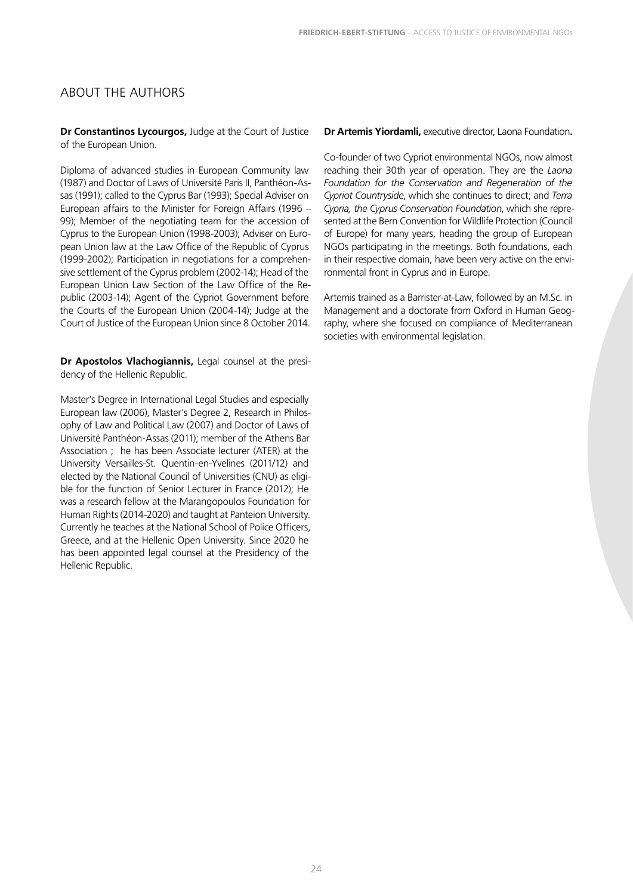#### <span id="page-23-0"></span>ABOUT THE AUTHORS

**Dr Constantinos Lycourgos,** Judge at the Court of Justice of the European Union.

Diploma of advanced studies in European Community law (1987) and Doctor of Laws of Université Paris II, Panthéon-Assas (1991); called to the Cyprus Bar (1993); Special Adviser on European affairs to the Minister for Foreign Affairs (1996 – 99); Member of the negotiating team for the accession of Cyprus to the European Union (1998-2003); Adviser on European Union law at the Law Office of the Republic of Cyprus (1999-2002); Participation in negotiations for a comprehensive settlement of the Cyprus problem (2002-14); Head of the European Union Law Section of the Law Office of the Republic (2003-14); Agent of the Cypriot Government before the Courts of the European Union (2004-14); Judge at the Court of Justice of the European Union since 8 October 2014.

**Dr Apostolos Vlachogiannis,** Legal counsel at the presidency of the Hellenic Republic.

Master's Degree in International Legal Studies and especially European law (2006), Master's Degree 2, Research in Philosophy of Law and Political Law (2007) and Doctor of Laws of Université Panthéon-Assas (2011); member of the Athens Bar Association ; he has been Associate lecturer (ATER) at the University Versailles-St. Quentin-en-Yvelines (2011/12) and elected by the National Council of Universities (CNU) as eligible for the function of Senior Lecturer in France (2012); He was a research fellow at the Marangopoulos Foundation for Human Rights (2014-2020) and taught at Panteion University. Currently he teaches at the National School of Police Officers, Greece, and at the Hellenic Open University. Since 2020 he has been appointed legal counsel at the Presidency of the Hellenic Republic.

**Dr Artemis Yiordamli,** executive director, Laona Foundation**.**

Co-founder of two Cypriot environmental NGOs, now almost reaching their 30th year of operation. They are the *Laona Foundation for the Conservation and Regeneration of the Cypriot Countryside*, which she continues to direct; and *Terra Cypria, the Cyprus Conservation Foundation*, which she represented at the Bern Convention for Wildlife Protection (Council of Europe) for many years, heading the group of European NGOs participating in the meetings. Both foundations, each in their respective domain, have been very active on the environmental front in Cyprus and in Europe.

Artemis trained as a Barrister-at-Law, followed by an M.Sc. in Management and a doctorate from Oxford in Human Geography, where she focused on compliance of Mediterranean societies with environmental legislation.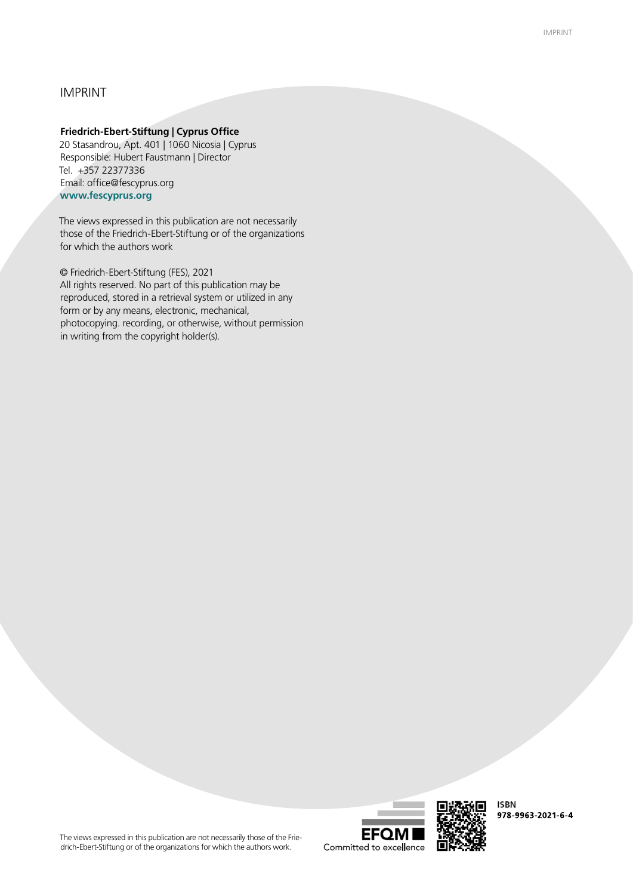#### IMPRINT

#### **Friedrich-Ebert-Stiftung | Cyprus Office**

20 Stasandrou, Apt. 401 | 1060 Nicosia | Cyprus Responsible: Hubert Faustmann | Director Tel. +357 22377336 Email: office@fescyprus.org **www.fescyprus.org**

The views expressed in this publication are not necessarily those of the Friedrich-Ebert-Stiftung or of the organizations for which the authors work

© Friedrich-Ebert-Stiftung (FES), 2021 All rights reserved. No part of this publication may be reproduced, stored in a retrieval system or utilized in any form or by any means, electronic, mechanical, photocopying. recording, or otherwise, without permission in writing from the copyright holder(s).

The views expressed in this publication are not necessarily those of the Friedrich-Ebert-Stiftung or of the organizations for which the authors work.



**ISBN** 978-9963-2021-6-4